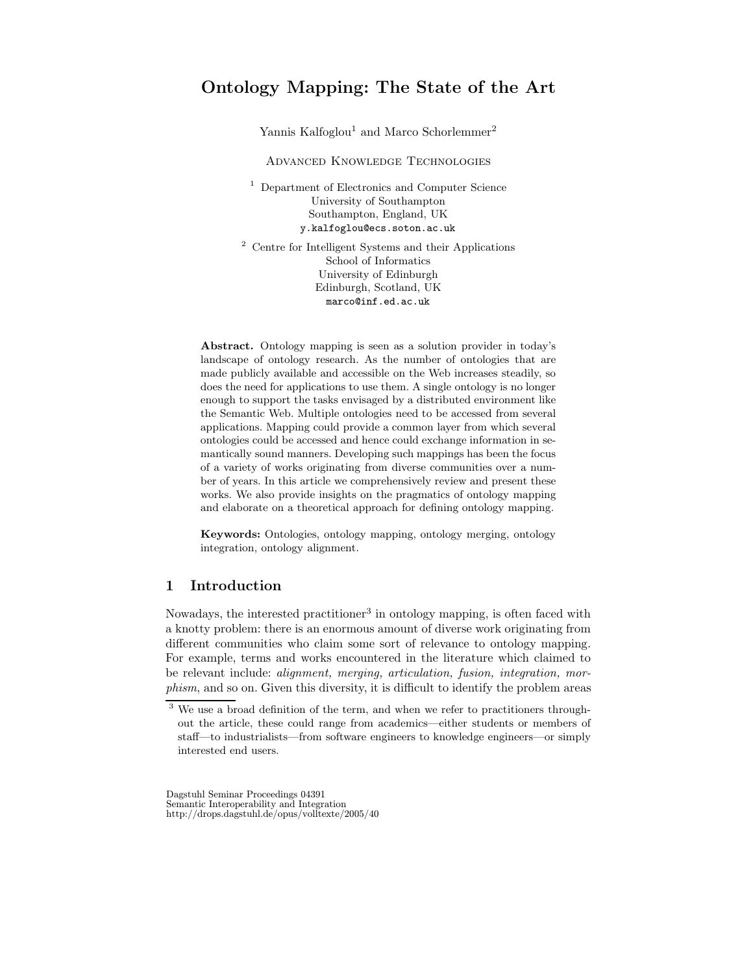# **Ontology Mapping: The State of the Art**

Yannis Kalfoglou<sup>1</sup> and Marco Schorlemmer<sup>2</sup>

Advanced Knowledge Technologies

<sup>1</sup> Department of Electronics and Computer Science University of Southampton Southampton, England, UK y.kalfoglou@ecs.soton.ac.uk

<sup>2</sup> Centre for Intelligent Systems and their Applications School of Informatics University of Edinburgh Edinburgh, Scotland, UK marco@inf.ed.ac.uk

**Abstract.** Ontology mapping is seen as a solution provider in today's landscape of ontology research. As the number of ontologies that are made publicly available and accessible on the Web increases steadily, so does the need for applications to use them. A single ontology is no longer enough to support the tasks envisaged by a distributed environment like the Semantic Web. Multiple ontologies need to be accessed from several applications. Mapping could provide a common layer from which several ontologies could be accessed and hence could exchange information in semantically sound manners. Developing such mappings has been the focus of a variety of works originating from diverse communities over a number of years. In this article we comprehensively review and present these works. We also provide insights on the pragmatics of ontology mapping and elaborate on a theoretical approach for defining ontology mapping.

**Keywords:** Ontologies, ontology mapping, ontology merging, ontology integration, ontology alignment.

## **1 Introduction**

Nowadays, the interested practitioner<sup>3</sup> in ontology mapping, is often faced with a knotty problem: there is an enormous amount of diverse work originating from different communities who claim some sort of relevance to ontology mapping. For example, terms and works encountered in the literature which claimed to be relevant include: alignment, merging, articulation, fusion, integration, morphism, and so on. Given this diversity, it is difficult to identify the problem areas

Dagstuhl Seminar Proceedings 04391 Semantic Interoperability and Integration http://drops.dagstuhl.de/opus/volltexte/2005/40

<sup>&</sup>lt;sup>3</sup> We use a broad definition of the term, and when we refer to practitioners throughout the article, these could range from academics—either students or members of staff—to industrialists—from software engineers to knowledge engineers—or simply interested end users.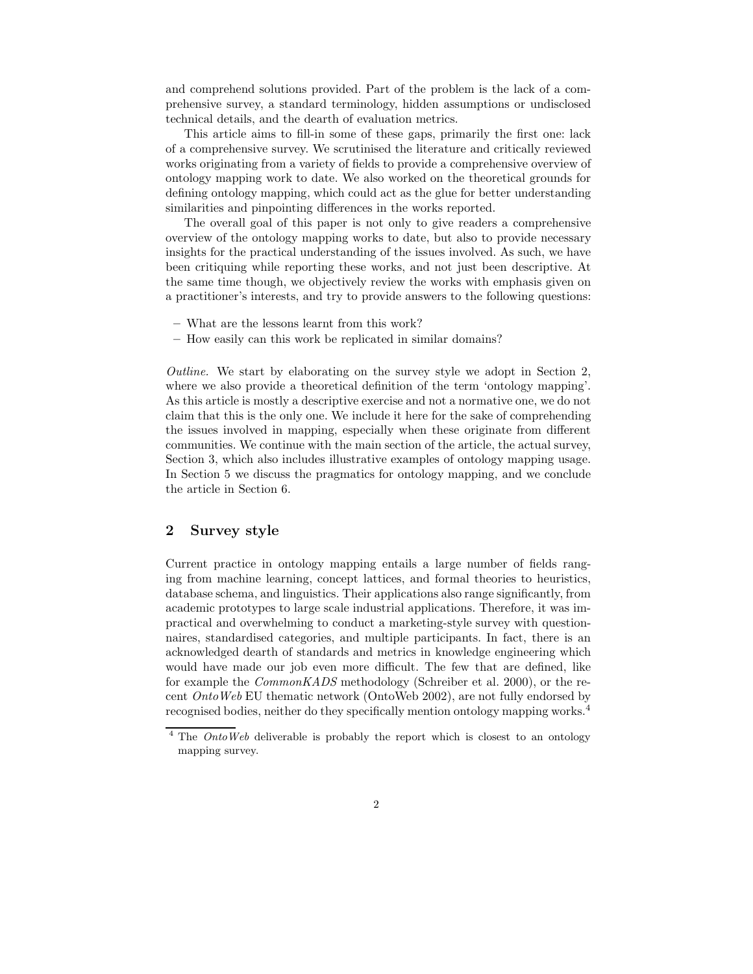and comprehend solutions provided. Part of the problem is the lack of a comprehensive survey, a standard terminology, hidden assumptions or undisclosed technical details, and the dearth of evaluation metrics.

This article aims to fill-in some of these gaps, primarily the first one: lack of a comprehensive survey. We scrutinised the literature and critically reviewed works originating from a variety of fields to provide a comprehensive overview of ontology mapping work to date. We also worked on the theoretical grounds for defining ontology mapping, which could act as the glue for better understanding similarities and pinpointing differences in the works reported.

The overall goal of this paper is not only to give readers a comprehensive overview of the ontology mapping works to date, but also to provide necessary insights for the practical understanding of the issues involved. As such, we have been critiquing while reporting these works, and not just been descriptive. At the same time though, we objectively review the works with emphasis given on a practitioner's interests, and try to provide answers to the following questions:

- **–** What are the lessons learnt from this work?
- **–** How easily can this work be replicated in similar domains?

Outline. We start by elaborating on the survey style we adopt in Section 2, where we also provide a theoretical definition of the term 'ontology mapping'. As this article is mostly a descriptive exercise and not a normative one, we do not claim that this is the only one. We include it here for the sake of comprehending the issues involved in mapping, especially when these originate from different communities. We continue with the main section of the article, the actual survey, Section 3, which also includes illustrative examples of ontology mapping usage. In Section 5 we discuss the pragmatics for ontology mapping, and we conclude the article in Section 6.

## **2 Survey style**

Current practice in ontology mapping entails a large number of fields ranging from machine learning, concept lattices, and formal theories to heuristics, database schema, and linguistics. Their applications also range significantly, from academic prototypes to large scale industrial applications. Therefore, it was impractical and overwhelming to conduct a marketing-style survey with questionnaires, standardised categories, and multiple participants. In fact, there is an acknowledged dearth of standards and metrics in knowledge engineering which would have made our job even more difficult. The few that are defined, like for example the CommonKADS methodology (Schreiber et al. 2000), or the recent OntoWeb EU thematic network (OntoWeb 2002), are not fully endorsed by recognised bodies, neither do they specifically mention ontology mapping works.<sup>4</sup>

<sup>&</sup>lt;sup>4</sup> The *OntoWeb* deliverable is probably the report which is closest to an ontology mapping survey.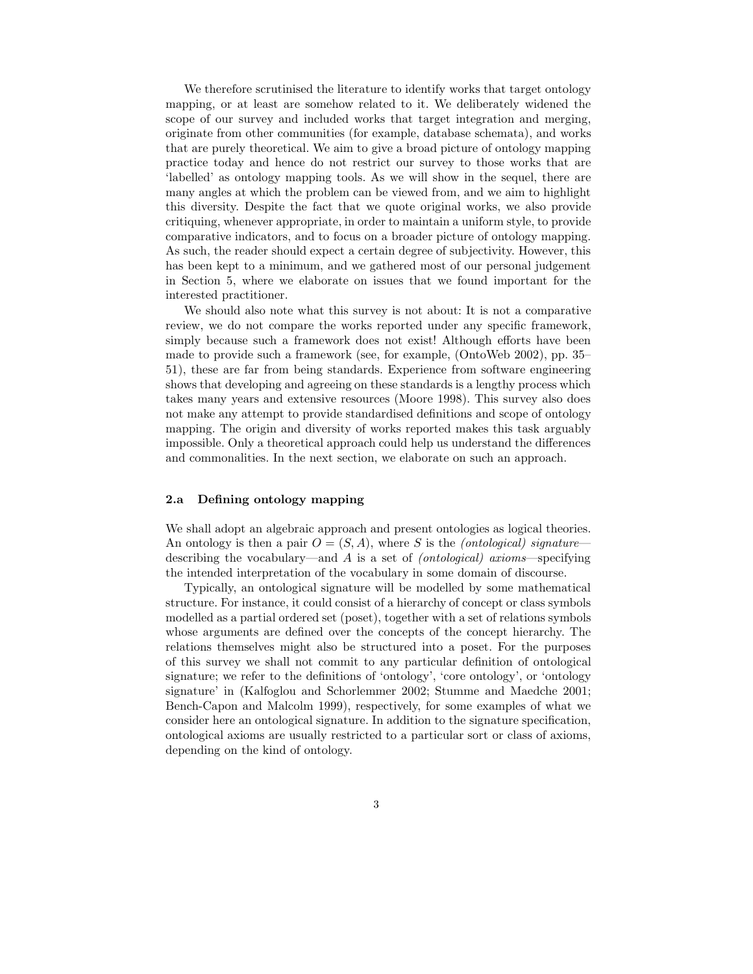We therefore scrutinised the literature to identify works that target ontology mapping, or at least are somehow related to it. We deliberately widened the scope of our survey and included works that target integration and merging, originate from other communities (for example, database schemata), and works that are purely theoretical. We aim to give a broad picture of ontology mapping practice today and hence do not restrict our survey to those works that are 'labelled' as ontology mapping tools. As we will show in the sequel, there are many angles at which the problem can be viewed from, and we aim to highlight this diversity. Despite the fact that we quote original works, we also provide critiquing, whenever appropriate, in order to maintain a uniform style, to provide comparative indicators, and to focus on a broader picture of ontology mapping. As such, the reader should expect a certain degree of subjectivity. However, this has been kept to a minimum, and we gathered most of our personal judgement in Section 5, where we elaborate on issues that we found important for the interested practitioner.

We should also note what this survey is not about: It is not a comparative review, we do not compare the works reported under any specific framework, simply because such a framework does not exist! Although efforts have been made to provide such a framework (see, for example, (OntoWeb 2002), pp. 35– 51), these are far from being standards. Experience from software engineering shows that developing and agreeing on these standards is a lengthy process which takes many years and extensive resources (Moore 1998). This survey also does not make any attempt to provide standardised definitions and scope of ontology mapping. The origin and diversity of works reported makes this task arguably impossible. Only a theoretical approach could help us understand the differences and commonalities. In the next section, we elaborate on such an approach.

#### **2.a Defining ontology mapping**

We shall adopt an algebraic approach and present ontologies as logical theories. An ontology is then a pair  $O = (S, A)$ , where *S* is the *(ontological) signature* describing the vocabulary—and *A* is a set of (ontological) axioms—specifying the intended interpretation of the vocabulary in some domain of discourse.

Typically, an ontological signature will be modelled by some mathematical structure. For instance, it could consist of a hierarchy of concept or class symbols modelled as a partial ordered set (poset), together with a set of relations symbols whose arguments are defined over the concepts of the concept hierarchy. The relations themselves might also be structured into a poset. For the purposes of this survey we shall not commit to any particular definition of ontological signature; we refer to the definitions of 'ontology', 'core ontology', or 'ontology signature' in (Kalfoglou and Schorlemmer 2002; Stumme and Maedche 2001; Bench-Capon and Malcolm 1999), respectively, for some examples of what we consider here an ontological signature. In addition to the signature specification, ontological axioms are usually restricted to a particular sort or class of axioms, depending on the kind of ontology.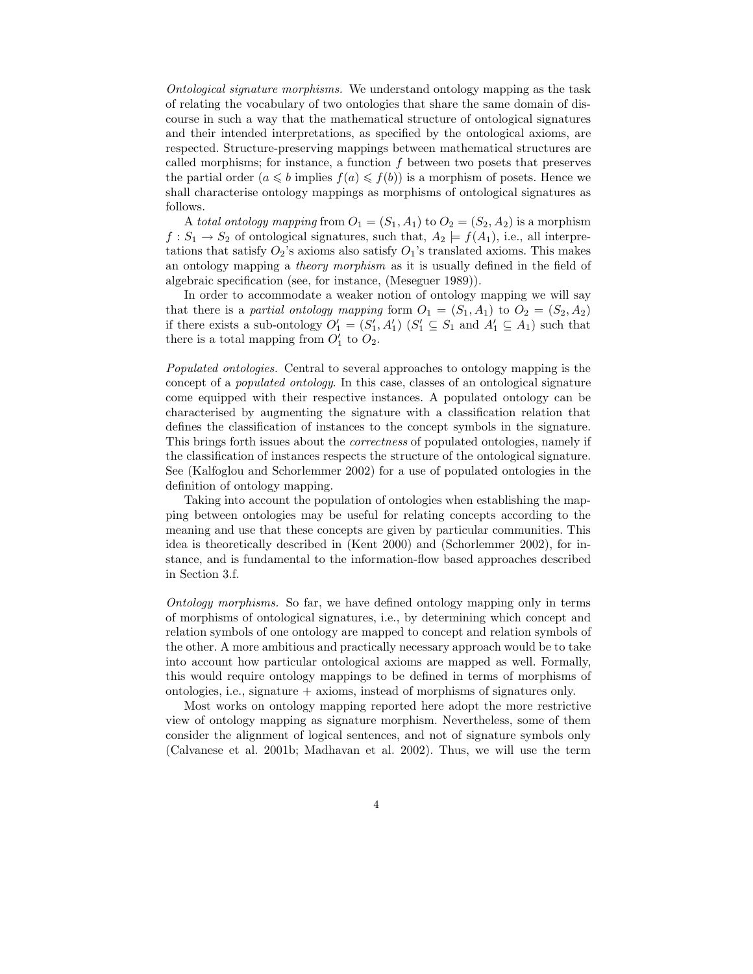Ontological signature morphisms. We understand ontology mapping as the task of relating the vocabulary of two ontologies that share the same domain of discourse in such a way that the mathematical structure of ontological signatures and their intended interpretations, as specified by the ontological axioms, are respected. Structure-preserving mappings between mathematical structures are called morphisms; for instance, a function *f* between two posets that preserves the partial order  $(a \leq b$  implies  $f(a) \leq f(b)$  is a morphism of posets. Hence we shall characterise ontology mappings as morphisms of ontological signatures as follows.

A total ontology mapping from  $O_1 = (S_1, A_1)$  to  $O_2 = (S_2, A_2)$  is a morphism  $f: S_1 \to S_2$  of ontological signatures, such that,  $A_2 \models f(A_1)$ , i.e., all interpretations that satisfy  $O_2$ 's axioms also satisfy  $O_1$ 's translated axioms. This makes an ontology mapping a theory morphism as it is usually defined in the field of algebraic specification (see, for instance, (Meseguer 1989)).

In order to accommodate a weaker notion of ontology mapping we will say that there is a *partial ontology mapping* form  $O_1 = (S_1, A_1)$  to  $O_2 = (S_2, A_2)$ if there exists a sub-ontology  $O'_1 = (S'_1, A'_1)$   $(S'_1 \subseteq S_1$  and  $A'_1 \subseteq A_1)$  such that there is a total mapping from  $O_1'$  to  $O_2$ .

Populated ontologies. Central to several approaches to ontology mapping is the concept of a populated ontology. In this case, classes of an ontological signature come equipped with their respective instances. A populated ontology can be characterised by augmenting the signature with a classification relation that defines the classification of instances to the concept symbols in the signature. This brings forth issues about the correctness of populated ontologies, namely if the classification of instances respects the structure of the ontological signature. See (Kalfoglou and Schorlemmer 2002) for a use of populated ontologies in the definition of ontology mapping.

Taking into account the population of ontologies when establishing the mapping between ontologies may be useful for relating concepts according to the meaning and use that these concepts are given by particular communities. This idea is theoretically described in (Kent 2000) and (Schorlemmer 2002), for instance, and is fundamental to the information-flow based approaches described in Section 3.f.

Ontology morphisms. So far, we have defined ontology mapping only in terms of morphisms of ontological signatures, i.e., by determining which concept and relation symbols of one ontology are mapped to concept and relation symbols of the other. A more ambitious and practically necessary approach would be to take into account how particular ontological axioms are mapped as well. Formally, this would require ontology mappings to be defined in terms of morphisms of ontologies, i.e., signature + axioms, instead of morphisms of signatures only.

Most works on ontology mapping reported here adopt the more restrictive view of ontology mapping as signature morphism. Nevertheless, some of them consider the alignment of logical sentences, and not of signature symbols only (Calvanese et al. 2001b; Madhavan et al. 2002). Thus, we will use the term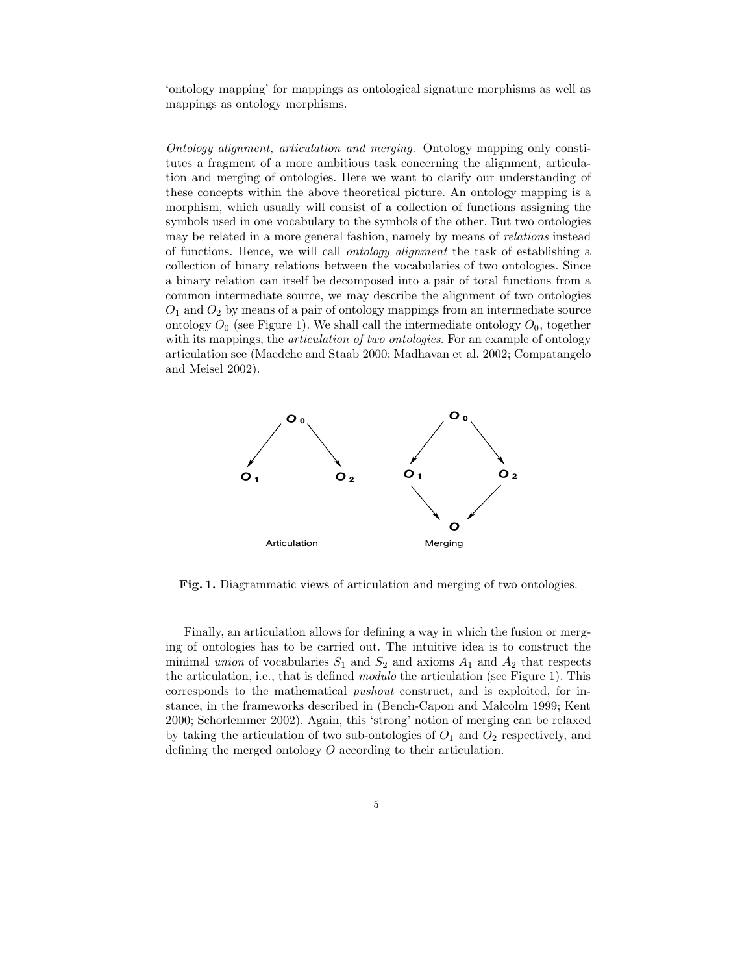'ontology mapping' for mappings as ontological signature morphisms as well as mappings as ontology morphisms.

Ontology alignment, articulation and merging. Ontology mapping only constitutes a fragment of a more ambitious task concerning the alignment, articulation and merging of ontologies. Here we want to clarify our understanding of these concepts within the above theoretical picture. An ontology mapping is a morphism, which usually will consist of a collection of functions assigning the symbols used in one vocabulary to the symbols of the other. But two ontologies may be related in a more general fashion, namely by means of relations instead of functions. Hence, we will call ontology alignment the task of establishing a collection of binary relations between the vocabularies of two ontologies. Since a binary relation can itself be decomposed into a pair of total functions from a common intermediate source, we may describe the alignment of two ontologies  $O_1$  and  $O_2$  by means of a pair of ontology mappings from an intermediate source ontology  $O_0$  (see Figure 1). We shall call the intermediate ontology  $O_0$ , together with its mappings, the *articulation of two ontologies*. For an example of ontology articulation see (Maedche and Staab 2000; Madhavan et al. 2002; Compatangelo and Meisel 2002).



**Fig. 1.** Diagrammatic views of articulation and merging of two ontologies.

Finally, an articulation allows for defining a way in which the fusion or merging of ontologies has to be carried out. The intuitive idea is to construct the minimal union of vocabularies  $S_1$  and  $S_2$  and axioms  $A_1$  and  $A_2$  that respects the articulation, i.e., that is defined modulo the articulation (see Figure 1). This corresponds to the mathematical pushout construct, and is exploited, for instance, in the frameworks described in (Bench-Capon and Malcolm 1999; Kent 2000; Schorlemmer 2002). Again, this 'strong' notion of merging can be relaxed by taking the articulation of two sub-ontologies of  $O_1$  and  $O_2$  respectively, and defining the merged ontology *O* according to their articulation.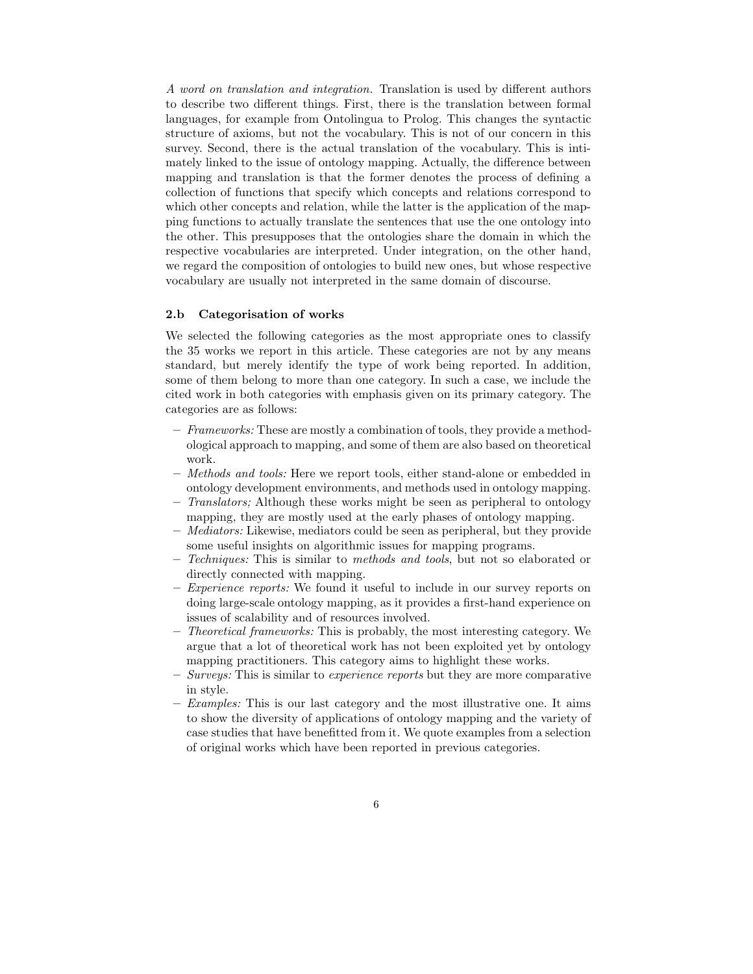A word on translation and integration. Translation is used by different authors to describe two different things. First, there is the translation between formal languages, for example from Ontolingua to Prolog. This changes the syntactic structure of axioms, but not the vocabulary. This is not of our concern in this survey. Second, there is the actual translation of the vocabulary. This is intimately linked to the issue of ontology mapping. Actually, the difference between mapping and translation is that the former denotes the process of defining a collection of functions that specify which concepts and relations correspond to which other concepts and relation, while the latter is the application of the mapping functions to actually translate the sentences that use the one ontology into the other. This presupposes that the ontologies share the domain in which the respective vocabularies are interpreted. Under integration, on the other hand, we regard the composition of ontologies to build new ones, but whose respective vocabulary are usually not interpreted in the same domain of discourse.

#### **2.b Categorisation of works**

We selected the following categories as the most appropriate ones to classify the 35 works we report in this article. These categories are not by any means standard, but merely identify the type of work being reported. In addition, some of them belong to more than one category. In such a case, we include the cited work in both categories with emphasis given on its primary category. The categories are as follows:

- **–** Frameworks: These are mostly a combination of tools, they provide a methodological approach to mapping, and some of them are also based on theoretical work.
- **–** Methods and tools: Here we report tools, either stand-alone or embedded in ontology development environments, and methods used in ontology mapping.
- **–** Translators; Although these works might be seen as peripheral to ontology mapping, they are mostly used at the early phases of ontology mapping.
- **–** Mediators: Likewise, mediators could be seen as peripheral, but they provide some useful insights on algorithmic issues for mapping programs.
- **–** Techniques: This is similar to methods and tools, but not so elaborated or directly connected with mapping.
- **–** Experience reports: We found it useful to include in our survey reports on doing large-scale ontology mapping, as it provides a first-hand experience on issues of scalability and of resources involved.
- **–** Theoretical frameworks: This is probably, the most interesting category. We argue that a lot of theoretical work has not been exploited yet by ontology mapping practitioners. This category aims to highlight these works.
- **–** Surveys: This is similar to experience reports but they are more comparative in style.
- **–** Examples: This is our last category and the most illustrative one. It aims to show the diversity of applications of ontology mapping and the variety of case studies that have benefitted from it. We quote examples from a selection of original works which have been reported in previous categories.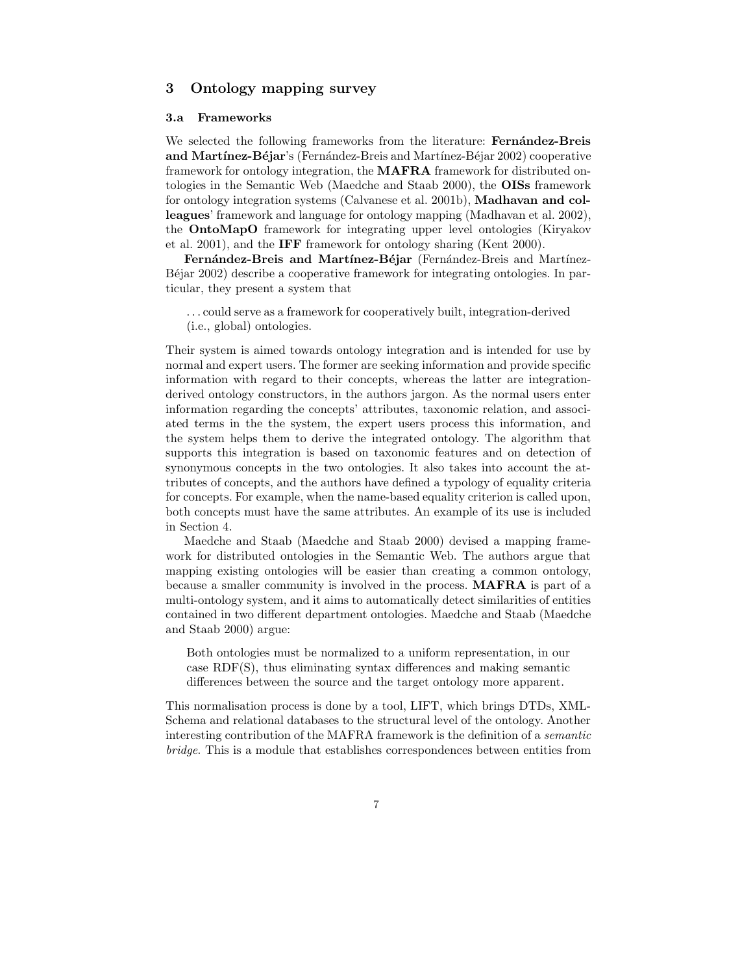## **3 Ontology mapping survey**

#### **3.a Frameworks**

We selected the following frameworks from the literature: **Fernandez-Breis and Martínez-Béjar**'s (Fernández-Breis and Martínez-Béjar 2002) cooperative framework for ontology integration, the **MAFRA** framework for distributed ontologies in the Semantic Web (Maedche and Staab 2000), the **OISs** framework for ontology integration systems (Calvanese et al. 2001b), **Madhavan and colleagues**' framework and language for ontology mapping (Madhavan et al. 2002), the **OntoMapO** framework for integrating upper level ontologies (Kiryakov et al. 2001), and the **IFF** framework for ontology sharing (Kent 2000).

**Fernández-Breis and Martínez-Béjar** (Fernández-Breis and Martínez-B<sup> $\acute{e}$ </sup>jar 2002) describe a cooperative framework for integrating ontologies. In particular, they present a system that

. . . could serve as a framework for cooperatively built, integration-derived (i.e., global) ontologies.

Their system is aimed towards ontology integration and is intended for use by normal and expert users. The former are seeking information and provide specific information with regard to their concepts, whereas the latter are integrationderived ontology constructors, in the authors jargon. As the normal users enter information regarding the concepts' attributes, taxonomic relation, and associated terms in the the system, the expert users process this information, and the system helps them to derive the integrated ontology. The algorithm that supports this integration is based on taxonomic features and on detection of synonymous concepts in the two ontologies. It also takes into account the attributes of concepts, and the authors have defined a typology of equality criteria for concepts. For example, when the name-based equality criterion is called upon, both concepts must have the same attributes. An example of its use is included in Section 4.

Maedche and Staab (Maedche and Staab 2000) devised a mapping framework for distributed ontologies in the Semantic Web. The authors argue that mapping existing ontologies will be easier than creating a common ontology, because a smaller community is involved in the process. **MAFRA** is part of a multi-ontology system, and it aims to automatically detect similarities of entities contained in two different department ontologies. Maedche and Staab (Maedche and Staab 2000) argue:

Both ontologies must be normalized to a uniform representation, in our case RDF(S), thus eliminating syntax differences and making semantic differences between the source and the target ontology more apparent.

This normalisation process is done by a tool, LIFT, which brings DTDs, XML-Schema and relational databases to the structural level of the ontology. Another interesting contribution of the MAFRA framework is the definition of a semantic bridge. This is a module that establishes correspondences between entities from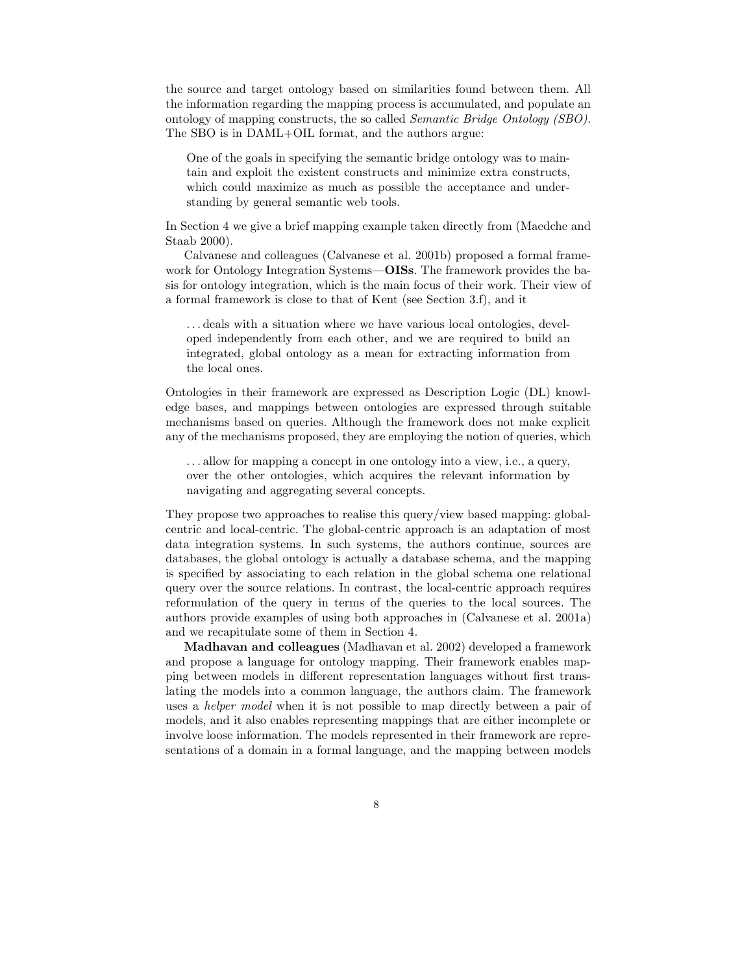the source and target ontology based on similarities found between them. All the information regarding the mapping process is accumulated, and populate an ontology of mapping constructs, the so called Semantic Bridge Ontology (SBO). The SBO is in DAML+OIL format, and the authors argue:

One of the goals in specifying the semantic bridge ontology was to maintain and exploit the existent constructs and minimize extra constructs, which could maximize as much as possible the acceptance and understanding by general semantic web tools.

In Section 4 we give a brief mapping example taken directly from (Maedche and Staab 2000).

Calvanese and colleagues (Calvanese et al. 2001b) proposed a formal framework for Ontology Integration Systems—**OISs**. The framework provides the basis for ontology integration, which is the main focus of their work. Their view of a formal framework is close to that of Kent (see Section 3.f), and it

. . . deals with a situation where we have various local ontologies, developed independently from each other, and we are required to build an integrated, global ontology as a mean for extracting information from the local ones.

Ontologies in their framework are expressed as Description Logic (DL) knowledge bases, and mappings between ontologies are expressed through suitable mechanisms based on queries. Although the framework does not make explicit any of the mechanisms proposed, they are employing the notion of queries, which

. . . allow for mapping a concept in one ontology into a view, i.e., a query, over the other ontologies, which acquires the relevant information by navigating and aggregating several concepts.

They propose two approaches to realise this query/view based mapping: globalcentric and local-centric. The global-centric approach is an adaptation of most data integration systems. In such systems, the authors continue, sources are databases, the global ontology is actually a database schema, and the mapping is specified by associating to each relation in the global schema one relational query over the source relations. In contrast, the local-centric approach requires reformulation of the query in terms of the queries to the local sources. The authors provide examples of using both approaches in (Calvanese et al. 2001a) and we recapitulate some of them in Section 4.

**Madhavan and colleagues** (Madhavan et al. 2002) developed a framework and propose a language for ontology mapping. Their framework enables mapping between models in different representation languages without first translating the models into a common language, the authors claim. The framework uses a *helper model* when it is not possible to map directly between a pair of models, and it also enables representing mappings that are either incomplete or involve loose information. The models represented in their framework are representations of a domain in a formal language, and the mapping between models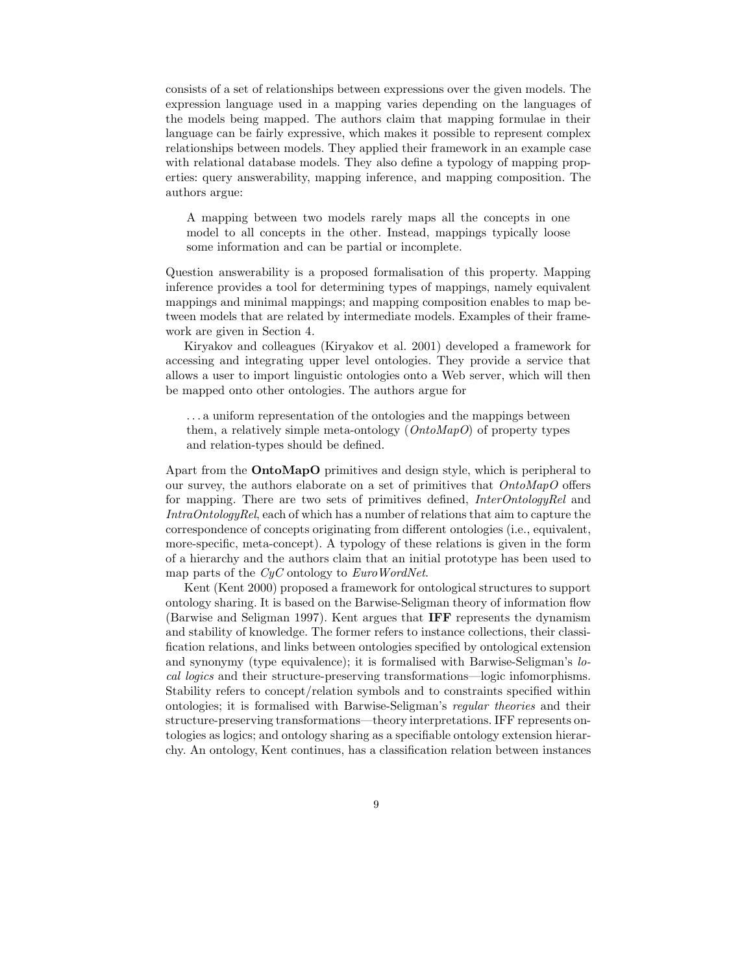consists of a set of relationships between expressions over the given models. The expression language used in a mapping varies depending on the languages of the models being mapped. The authors claim that mapping formulae in their language can be fairly expressive, which makes it possible to represent complex relationships between models. They applied their framework in an example case with relational database models. They also define a typology of mapping properties: query answerability, mapping inference, and mapping composition. The authors argue:

A mapping between two models rarely maps all the concepts in one model to all concepts in the other. Instead, mappings typically loose some information and can be partial or incomplete.

Question answerability is a proposed formalisation of this property. Mapping inference provides a tool for determining types of mappings, namely equivalent mappings and minimal mappings; and mapping composition enables to map between models that are related by intermediate models. Examples of their framework are given in Section 4.

Kiryakov and colleagues (Kiryakov et al. 2001) developed a framework for accessing and integrating upper level ontologies. They provide a service that allows a user to import linguistic ontologies onto a Web server, which will then be mapped onto other ontologies. The authors argue for

. . . a uniform representation of the ontologies and the mappings between them, a relatively simple meta-ontology  $(OntoMapO)$  of property types and relation-types should be defined.

Apart from the **OntoMapO** primitives and design style, which is peripheral to our survey, the authors elaborate on a set of primitives that  $OntoMapO$  offers for mapping. There are two sets of primitives defined, InterOntologyRel and IntraOntologyRel, each of which has a number of relations that aim to capture the correspondence of concepts originating from different ontologies (i.e., equivalent, more-specific, meta-concept). A typology of these relations is given in the form of a hierarchy and the authors claim that an initial prototype has been used to map parts of the  $Cyc$  ontology to  $EuroWordNet$ .

Kent (Kent 2000) proposed a framework for ontological structures to support ontology sharing. It is based on the Barwise-Seligman theory of information flow (Barwise and Seligman 1997). Kent argues that **IFF** represents the dynamism and stability of knowledge. The former refers to instance collections, their classification relations, and links between ontologies specified by ontological extension and synonymy (type equivalence); it is formalised with Barwise-Seligman's local logics and their structure-preserving transformations—logic infomorphisms. Stability refers to concept/relation symbols and to constraints specified within ontologies; it is formalised with Barwise-Seligman's regular theories and their structure-preserving transformations—theory interpretations. IFF represents ontologies as logics; and ontology sharing as a specifiable ontology extension hierarchy. An ontology, Kent continues, has a classification relation between instances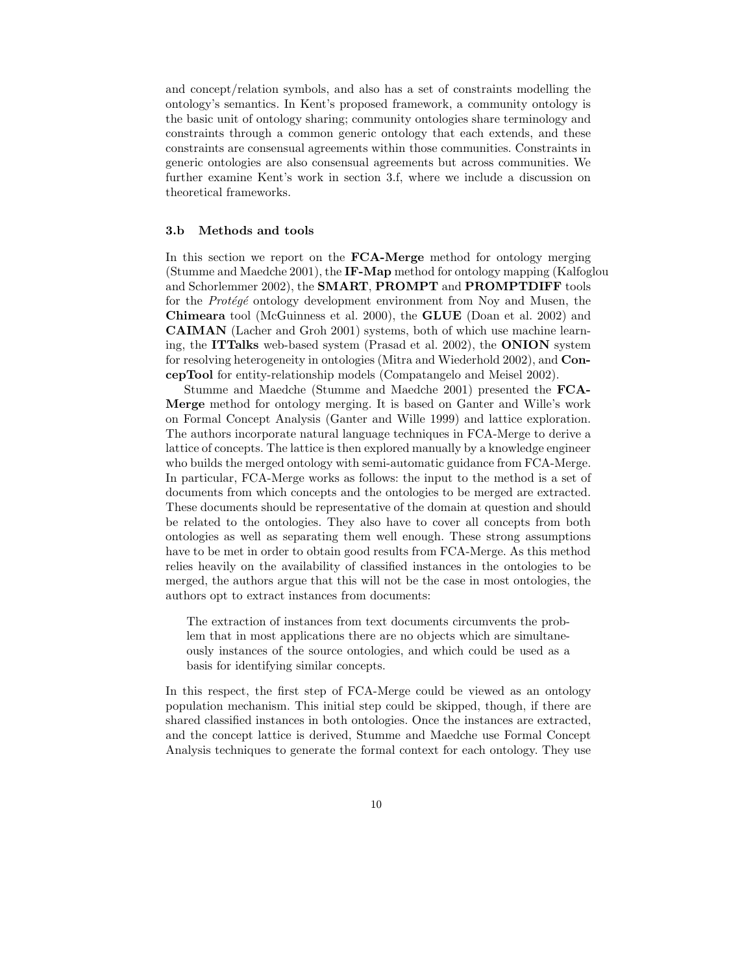and concept/relation symbols, and also has a set of constraints modelling the ontology's semantics. In Kent's proposed framework, a community ontology is the basic unit of ontology sharing; community ontologies share terminology and constraints through a common generic ontology that each extends, and these constraints are consensual agreements within those communities. Constraints in generic ontologies are also consensual agreements but across communities. We further examine Kent's work in section 3.f, where we include a discussion on theoretical frameworks.

#### **3.b Methods and tools**

In this section we report on the **FCA-Merge** method for ontology merging (Stumme and Maedche 2001), the **IF-Map** method for ontology mapping (Kalfoglou and Schorlemmer 2002), the **SMART**, **PROMPT** and **PROMPTDIFF** tools for the *Protégé* ontology development environment from Noy and Musen, the **Chimeara** tool (McGuinness et al. 2000), the **GLUE** (Doan et al. 2002) and **CAIMAN** (Lacher and Groh 2001) systems, both of which use machine learning, the **ITTalks** web-based system (Prasad et al. 2002), the **ONION** system for resolving heterogeneity in ontologies (Mitra and Wiederhold 2002), and **ConcepTool** for entity-relationship models (Compatangelo and Meisel 2002).

Stumme and Maedche (Stumme and Maedche 2001) presented the **FCA-Merge** method for ontology merging. It is based on Ganter and Wille's work on Formal Concept Analysis (Ganter and Wille 1999) and lattice exploration. The authors incorporate natural language techniques in FCA-Merge to derive a lattice of concepts. The lattice is then explored manually by a knowledge engineer who builds the merged ontology with semi-automatic guidance from FCA-Merge. In particular, FCA-Merge works as follows: the input to the method is a set of documents from which concepts and the ontologies to be merged are extracted. These documents should be representative of the domain at question and should be related to the ontologies. They also have to cover all concepts from both ontologies as well as separating them well enough. These strong assumptions have to be met in order to obtain good results from FCA-Merge. As this method relies heavily on the availability of classified instances in the ontologies to be merged, the authors argue that this will not be the case in most ontologies, the authors opt to extract instances from documents:

The extraction of instances from text documents circumvents the problem that in most applications there are no objects which are simultaneously instances of the source ontologies, and which could be used as a basis for identifying similar concepts.

In this respect, the first step of FCA-Merge could be viewed as an ontology population mechanism. This initial step could be skipped, though, if there are shared classified instances in both ontologies. Once the instances are extracted, and the concept lattice is derived, Stumme and Maedche use Formal Concept Analysis techniques to generate the formal context for each ontology. They use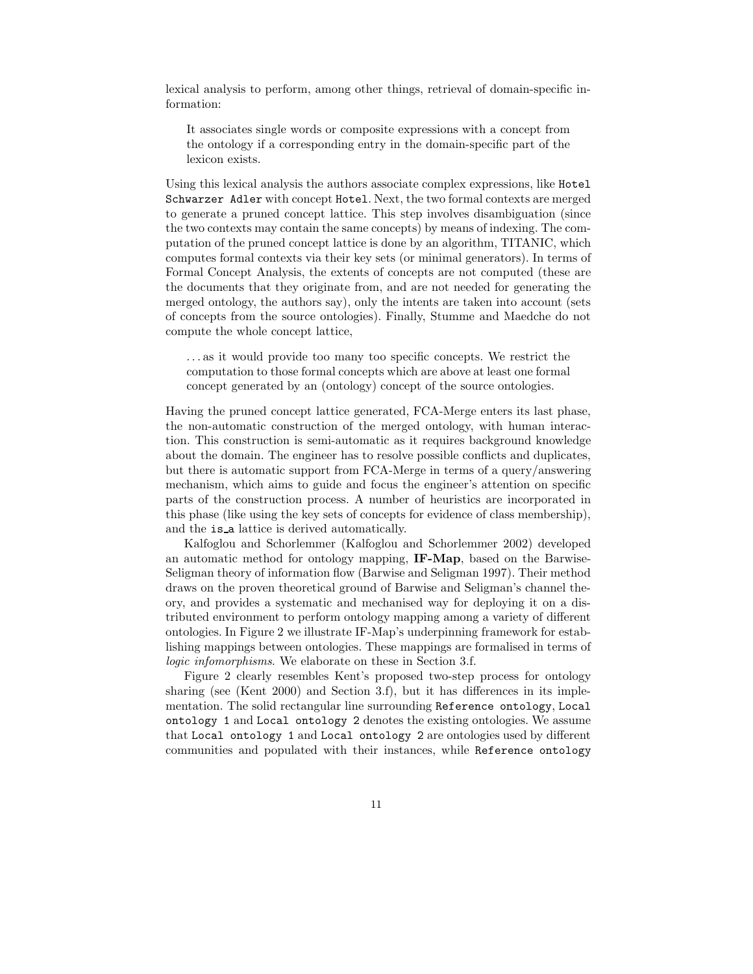lexical analysis to perform, among other things, retrieval of domain-specific information:

It associates single words or composite expressions with a concept from the ontology if a corresponding entry in the domain-specific part of the lexicon exists.

Using this lexical analysis the authors associate complex expressions, like Hotel Schwarzer Adler with concept Hotel. Next, the two formal contexts are merged to generate a pruned concept lattice. This step involves disambiguation (since the two contexts may contain the same concepts) by means of indexing. The computation of the pruned concept lattice is done by an algorithm, TITANIC, which computes formal contexts via their key sets (or minimal generators). In terms of Formal Concept Analysis, the extents of concepts are not computed (these are the documents that they originate from, and are not needed for generating the merged ontology, the authors say), only the intents are taken into account (sets of concepts from the source ontologies). Finally, Stumme and Maedche do not compute the whole concept lattice,

. . . as it would provide too many too specific concepts. We restrict the computation to those formal concepts which are above at least one formal concept generated by an (ontology) concept of the source ontologies.

Having the pruned concept lattice generated, FCA-Merge enters its last phase, the non-automatic construction of the merged ontology, with human interaction. This construction is semi-automatic as it requires background knowledge about the domain. The engineer has to resolve possible conflicts and duplicates, but there is automatic support from FCA-Merge in terms of a query/answering mechanism, which aims to guide and focus the engineer's attention on specific parts of the construction process. A number of heuristics are incorporated in this phase (like using the key sets of concepts for evidence of class membership), and the is a lattice is derived automatically.

Kalfoglou and Schorlemmer (Kalfoglou and Schorlemmer 2002) developed an automatic method for ontology mapping, **IF-Map**, based on the Barwise-Seligman theory of information flow (Barwise and Seligman 1997). Their method draws on the proven theoretical ground of Barwise and Seligman's channel theory, and provides a systematic and mechanised way for deploying it on a distributed environment to perform ontology mapping among a variety of different ontologies. In Figure 2 we illustrate IF-Map's underpinning framework for establishing mappings between ontologies. These mappings are formalised in terms of logic infomorphisms. We elaborate on these in Section 3.f.

Figure 2 clearly resembles Kent's proposed two-step process for ontology sharing (see (Kent 2000) and Section 3.f), but it has differences in its implementation. The solid rectangular line surrounding Reference ontology, Local ontology 1 and Local ontology 2 denotes the existing ontologies. We assume that Local ontology 1 and Local ontology 2 are ontologies used by different communities and populated with their instances, while Reference ontology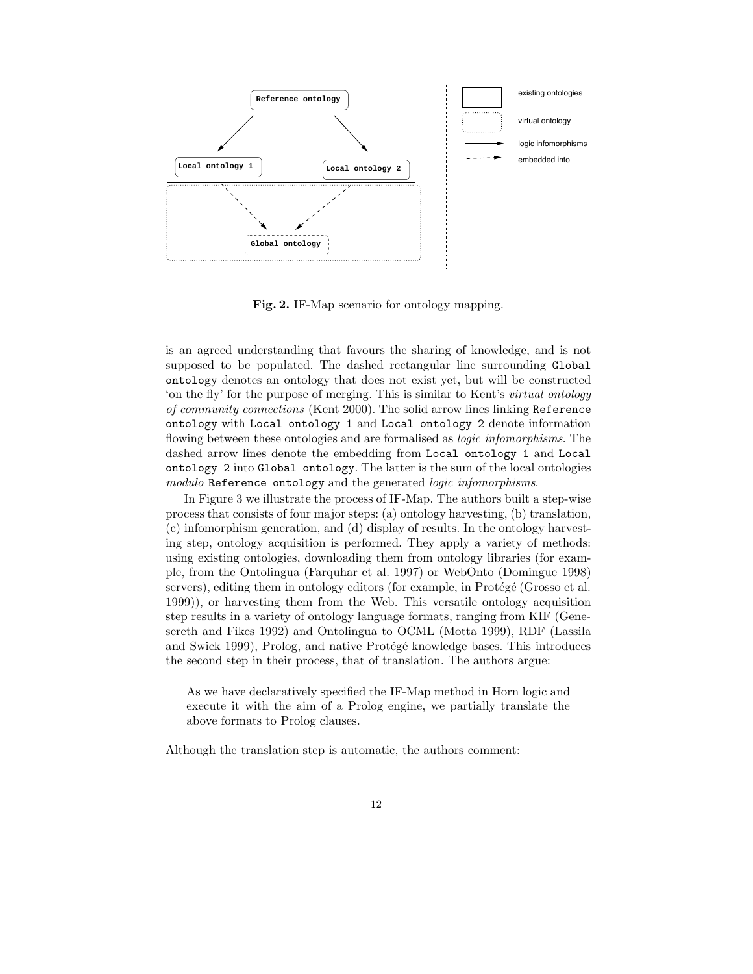

**Fig. 2.** IF-Map scenario for ontology mapping.

is an agreed understanding that favours the sharing of knowledge, and is not supposed to be populated. The dashed rectangular line surrounding Global ontology denotes an ontology that does not exist yet, but will be constructed 'on the fly' for the purpose of merging. This is similar to Kent's virtual ontology of community connections (Kent 2000). The solid arrow lines linking Reference ontology with Local ontology 1 and Local ontology 2 denote information flowing between these ontologies and are formalised as *logic infomorphisms*. The dashed arrow lines denote the embedding from Local ontology 1 and Local ontology 2 into Global ontology. The latter is the sum of the local ontologies modulo Reference ontology and the generated *logic infomorphisms*.

In Figure 3 we illustrate the process of IF-Map. The authors built a step-wise process that consists of four major steps: (a) ontology harvesting, (b) translation, (c) infomorphism generation, and (d) display of results. In the ontology harvesting step, ontology acquisition is performed. They apply a variety of methods: using existing ontologies, downloading them from ontology libraries (for example, from the Ontolingua (Farquhar et al. 1997) or WebOnto (Domingue 1998) servers), editing them in ontology editors (for example, in Protégé (Grosso et al. 1999)), or harvesting them from the Web. This versatile ontology acquisition step results in a variety of ontology language formats, ranging from KIF (Genesereth and Fikes 1992) and Ontolingua to OCML (Motta 1999), RDF (Lassila and Swick 1999), Prolog, and native Protégé knowledge bases. This introduces the second step in their process, that of translation. The authors argue:

As we have declaratively specified the IF-Map method in Horn logic and execute it with the aim of a Prolog engine, we partially translate the above formats to Prolog clauses.

Although the translation step is automatic, the authors comment: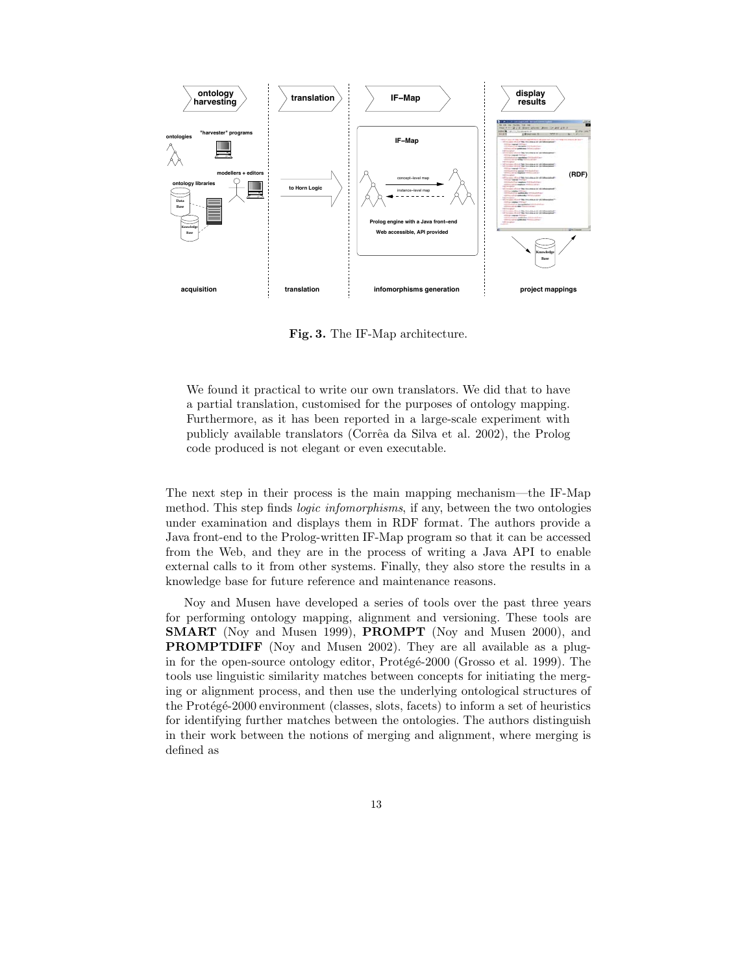

**Fig. 3.** The IF-Map architecture.

We found it practical to write our own translators. We did that to have a partial translation, customised for the purposes of ontology mapping. Furthermore, as it has been reported in a large-scale experiment with publicly available translators (Corrêa da Silva et al. 2002), the Prolog code produced is not elegant or even executable.

The next step in their process is the main mapping mechanism—the IF-Map method. This step finds logic infomorphisms, if any, between the two ontologies under examination and displays them in RDF format. The authors provide a Java front-end to the Prolog-written IF-Map program so that it can be accessed from the Web, and they are in the process of writing a Java API to enable external calls to it from other systems. Finally, they also store the results in a knowledge base for future reference and maintenance reasons.

Noy and Musen have developed a series of tools over the past three years for performing ontology mapping, alignment and versioning. These tools are **SMART** (Noy and Musen 1999), **PROMPT** (Noy and Musen 2000), and **PROMPTDIFF** (Noy and Musen 2002). They are all available as a plugin for the open-source ontology editor, Protégé-2000 (Grosso et al. 1999). The tools use linguistic similarity matches between concepts for initiating the merging or alignment process, and then use the underlying ontological structures of the Protégé-2000 environment (classes, slots, facets) to inform a set of heuristics for identifying further matches between the ontologies. The authors distinguish in their work between the notions of merging and alignment, where merging is defined as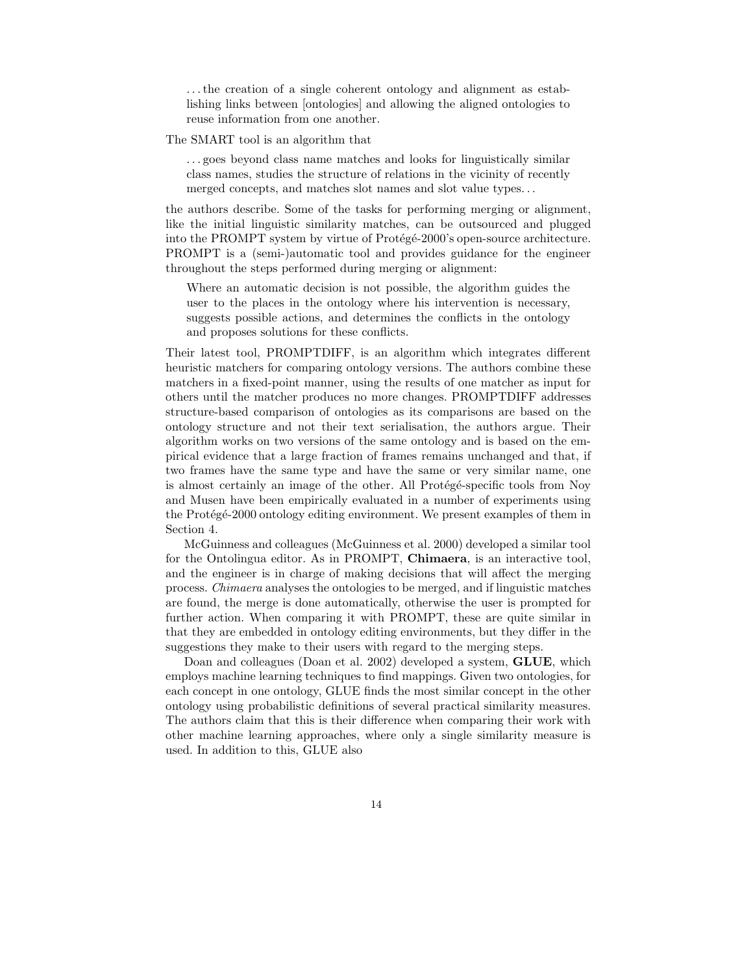... the creation of a single coherent ontology and alignment as establishing links between [ontologies] and allowing the aligned ontologies to reuse information from one another.

#### The SMART tool is an algorithm that

. . . goes beyond class name matches and looks for linguistically similar class names, studies the structure of relations in the vicinity of recently merged concepts, and matches slot names and slot value types. . .

the authors describe. Some of the tasks for performing merging or alignment, like the initial linguistic similarity matches, can be outsourced and plugged into the PROMPT system by virtue of Protégé-2000's open-source architecture. PROMPT is a (semi-)automatic tool and provides guidance for the engineer throughout the steps performed during merging or alignment:

Where an automatic decision is not possible, the algorithm guides the user to the places in the ontology where his intervention is necessary, suggests possible actions, and determines the conflicts in the ontology and proposes solutions for these conflicts.

Their latest tool, PROMPTDIFF, is an algorithm which integrates different heuristic matchers for comparing ontology versions. The authors combine these matchers in a fixed-point manner, using the results of one matcher as input for others until the matcher produces no more changes. PROMPTDIFF addresses structure-based comparison of ontologies as its comparisons are based on the ontology structure and not their text serialisation, the authors argue. Their algorithm works on two versions of the same ontology and is based on the empirical evidence that a large fraction of frames remains unchanged and that, if two frames have the same type and have the same or very similar name, one is almost certainly an image of the other. All Protégé-specific tools from Noy and Musen have been empirically evaluated in a number of experiments using the Protégé-2000 ontology editing environment. We present examples of them in Section 4.

McGuinness and colleagues (McGuinness et al. 2000) developed a similar tool for the Ontolingua editor. As in PROMPT, **Chimaera**, is an interactive tool, and the engineer is in charge of making decisions that will affect the merging process. Chimaera analyses the ontologies to be merged, and if linguistic matches are found, the merge is done automatically, otherwise the user is prompted for further action. When comparing it with PROMPT, these are quite similar in that they are embedded in ontology editing environments, but they differ in the suggestions they make to their users with regard to the merging steps.

Doan and colleagues (Doan et al. 2002) developed a system, **GLUE**, which employs machine learning techniques to find mappings. Given two ontologies, for each concept in one ontology, GLUE finds the most similar concept in the other ontology using probabilistic definitions of several practical similarity measures. The authors claim that this is their difference when comparing their work with other machine learning approaches, where only a single similarity measure is used. In addition to this, GLUE also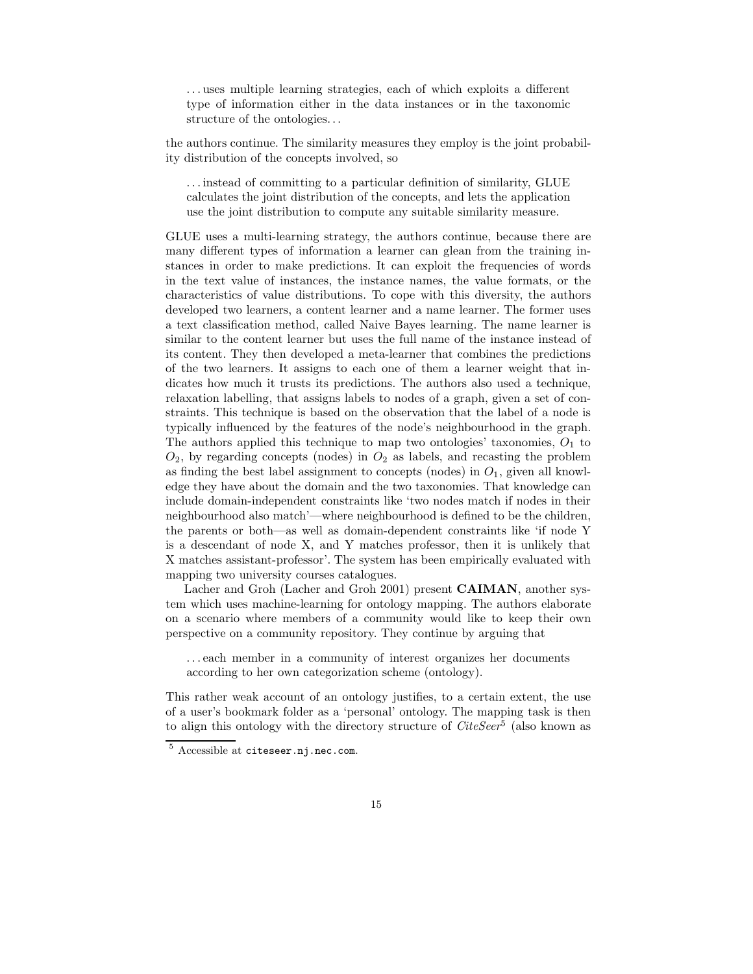. . . uses multiple learning strategies, each of which exploits a different type of information either in the data instances or in the taxonomic structure of the ontologies. . .

the authors continue. The similarity measures they employ is the joint probability distribution of the concepts involved, so

. . . instead of committing to a particular definition of similarity, GLUE calculates the joint distribution of the concepts, and lets the application use the joint distribution to compute any suitable similarity measure.

GLUE uses a multi-learning strategy, the authors continue, because there are many different types of information a learner can glean from the training instances in order to make predictions. It can exploit the frequencies of words in the text value of instances, the instance names, the value formats, or the characteristics of value distributions. To cope with this diversity, the authors developed two learners, a content learner and a name learner. The former uses a text classification method, called Naive Bayes learning. The name learner is similar to the content learner but uses the full name of the instance instead of its content. They then developed a meta-learner that combines the predictions of the two learners. It assigns to each one of them a learner weight that indicates how much it trusts its predictions. The authors also used a technique, relaxation labelling, that assigns labels to nodes of a graph, given a set of constraints. This technique is based on the observation that the label of a node is typically influenced by the features of the node's neighbourhood in the graph. The authors applied this technique to map two ontologies' taxonomies,  $O_1$  to  $O_2$ , by regarding concepts (nodes) in  $O_2$  as labels, and recasting the problem as finding the best label assignment to concepts (nodes) in  $O<sub>1</sub>$ , given all knowledge they have about the domain and the two taxonomies. That knowledge can include domain-independent constraints like 'two nodes match if nodes in their neighbourhood also match'—where neighbourhood is defined to be the children, the parents or both—as well as domain-dependent constraints like 'if node Y is a descendant of node X, and Y matches professor, then it is unlikely that X matches assistant-professor'. The system has been empirically evaluated with mapping two university courses catalogues.

Lacher and Groh (Lacher and Groh 2001) present **CAIMAN**, another system which uses machine-learning for ontology mapping. The authors elaborate on a scenario where members of a community would like to keep their own perspective on a community repository. They continue by arguing that

. . . each member in a community of interest organizes her documents according to her own categorization scheme (ontology).

This rather weak account of an ontology justifies, to a certain extent, the use of a user's bookmark folder as a 'personal' ontology. The mapping task is then to align this ontology with the directory structure of  $CiteSeer^5$  (also known as

<sup>5</sup> Accessible at citeseer.nj.nec.com.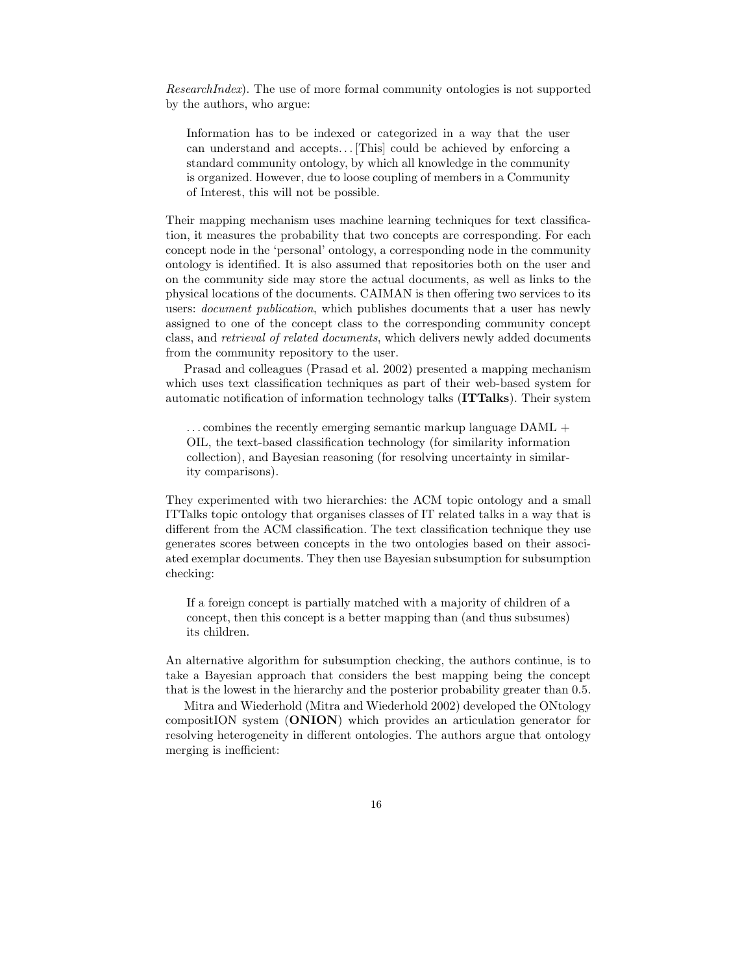ResearchIndex). The use of more formal community ontologies is not supported by the authors, who argue:

Information has to be indexed or categorized in a way that the user can understand and accepts... [This] could be achieved by enforcing a standard community ontology, by which all knowledge in the community is organized. However, due to loose coupling of members in a Community of Interest, this will not be possible.

Their mapping mechanism uses machine learning techniques for text classification, it measures the probability that two concepts are corresponding. For each concept node in the 'personal' ontology, a corresponding node in the community ontology is identified. It is also assumed that repositories both on the user and on the community side may store the actual documents, as well as links to the physical locations of the documents. CAIMAN is then offering two services to its users: document publication, which publishes documents that a user has newly assigned to one of the concept class to the corresponding community concept class, and retrieval of related documents, which delivers newly added documents from the community repository to the user.

Prasad and colleagues (Prasad et al. 2002) presented a mapping mechanism which uses text classification techniques as part of their web-based system for automatic notification of information technology talks (**ITTalks**). Their system

 $\dots$  combines the recently emerging semantic markup language DAML  $+$ OIL, the text-based classification technology (for similarity information collection), and Bayesian reasoning (for resolving uncertainty in similarity comparisons).

They experimented with two hierarchies: the ACM topic ontology and a small ITTalks topic ontology that organises classes of IT related talks in a way that is different from the ACM classification. The text classification technique they use generates scores between concepts in the two ontologies based on their associated exemplar documents. They then use Bayesian subsumption for subsumption checking:

If a foreign concept is partially matched with a majority of children of a concept, then this concept is a better mapping than (and thus subsumes) its children.

An alternative algorithm for subsumption checking, the authors continue, is to take a Bayesian approach that considers the best mapping being the concept that is the lowest in the hierarchy and the posterior probability greater than 0.5.

Mitra and Wiederhold (Mitra and Wiederhold 2002) developed the ONtology compositION system (**ONION**) which provides an articulation generator for resolving heterogeneity in different ontologies. The authors argue that ontology merging is inefficient: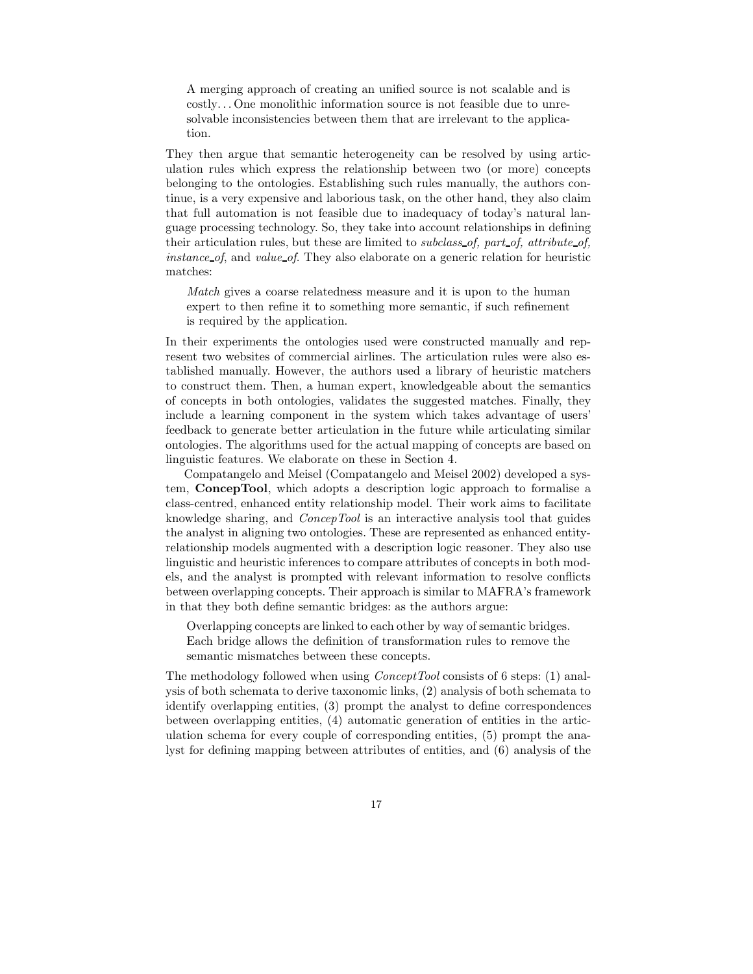A merging approach of creating an unified source is not scalable and is costly. . . One monolithic information source is not feasible due to unresolvable inconsistencies between them that are irrelevant to the application.

They then argue that semantic heterogeneity can be resolved by using articulation rules which express the relationship between two (or more) concepts belonging to the ontologies. Establishing such rules manually, the authors continue, is a very expensive and laborious task, on the other hand, they also claim that full automation is not feasible due to inadequacy of today's natural language processing technology. So, they take into account relationships in defining their articulation rules, but these are limited to *subclass* of, part of, attribute of, instance of, and value of. They also elaborate on a generic relation for heuristic matches:

Match gives a coarse relatedness measure and it is upon to the human expert to then refine it to something more semantic, if such refinement is required by the application.

In their experiments the ontologies used were constructed manually and represent two websites of commercial airlines. The articulation rules were also established manually. However, the authors used a library of heuristic matchers to construct them. Then, a human expert, knowledgeable about the semantics of concepts in both ontologies, validates the suggested matches. Finally, they include a learning component in the system which takes advantage of users' feedback to generate better articulation in the future while articulating similar ontologies. The algorithms used for the actual mapping of concepts are based on linguistic features. We elaborate on these in Section 4.

Compatangelo and Meisel (Compatangelo and Meisel 2002) developed a system, **ConcepTool**, which adopts a description logic approach to formalise a class-centred, enhanced entity relationship model. Their work aims to facilitate knowledge sharing, and ConcepTool is an interactive analysis tool that guides the analyst in aligning two ontologies. These are represented as enhanced entityrelationship models augmented with a description logic reasoner. They also use linguistic and heuristic inferences to compare attributes of concepts in both models, and the analyst is prompted with relevant information to resolve conflicts between overlapping concepts. Their approach is similar to MAFRA's framework in that they both define semantic bridges: as the authors argue:

Overlapping concepts are linked to each other by way of semantic bridges. Each bridge allows the definition of transformation rules to remove the semantic mismatches between these concepts.

The methodology followed when using *ConceptTool* consists of 6 steps: (1) analysis of both schemata to derive taxonomic links, (2) analysis of both schemata to identify overlapping entities, (3) prompt the analyst to define correspondences between overlapping entities, (4) automatic generation of entities in the articulation schema for every couple of corresponding entities, (5) prompt the analyst for defining mapping between attributes of entities, and (6) analysis of the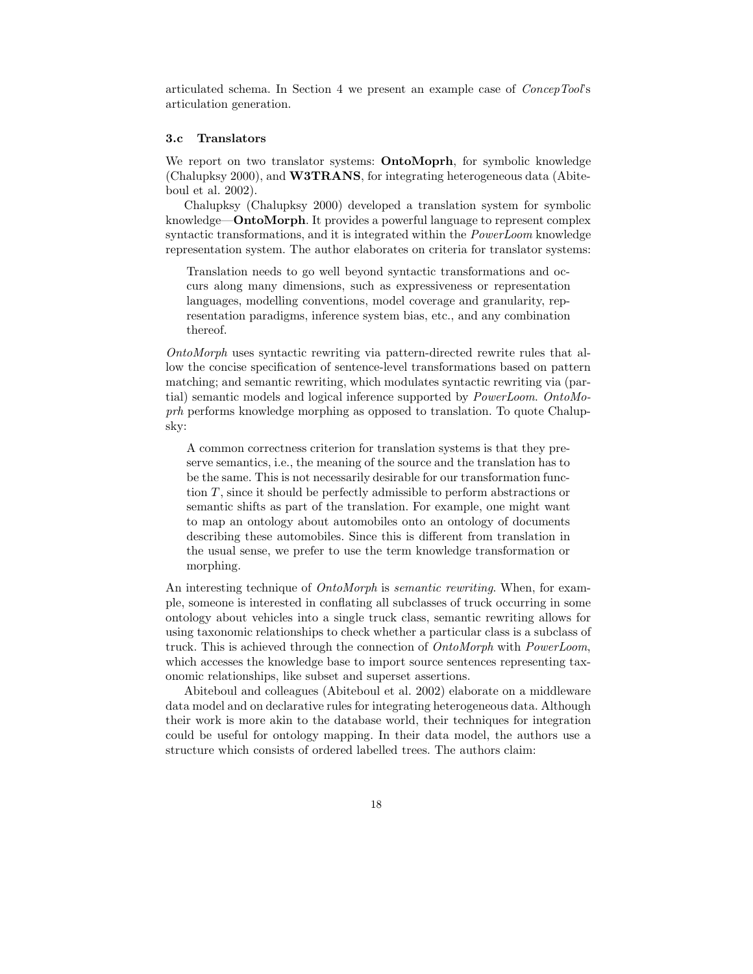articulated schema. In Section 4 we present an example case of ConcepTool's articulation generation.

#### **3.c Translators**

We report on two translator systems: **OntoMoprh**, for symbolic knowledge (Chalupksy 2000), and **W3TRANS**, for integrating heterogeneous data (Abiteboul et al. 2002).

Chalupksy (Chalupksy 2000) developed a translation system for symbolic knowledge—**OntoMorph**. It provides a powerful language to represent complex syntactic transformations, and it is integrated within the PowerLoom knowledge representation system. The author elaborates on criteria for translator systems:

Translation needs to go well beyond syntactic transformations and occurs along many dimensions, such as expressiveness or representation languages, modelling conventions, model coverage and granularity, representation paradigms, inference system bias, etc., and any combination thereof.

OntoMorph uses syntactic rewriting via pattern-directed rewrite rules that allow the concise specification of sentence-level transformations based on pattern matching; and semantic rewriting, which modulates syntactic rewriting via (partial) semantic models and logical inference supported by PowerLoom. OntoMoprh performs knowledge morphing as opposed to translation. To quote Chalupsky:

A common correctness criterion for translation systems is that they preserve semantics, i.e., the meaning of the source and the translation has to be the same. This is not necessarily desirable for our transformation function *T* , since it should be perfectly admissible to perform abstractions or semantic shifts as part of the translation. For example, one might want to map an ontology about automobiles onto an ontology of documents describing these automobiles. Since this is different from translation in the usual sense, we prefer to use the term knowledge transformation or morphing.

An interesting technique of OntoMorph is semantic rewriting. When, for example, someone is interested in conflating all subclasses of truck occurring in some ontology about vehicles into a single truck class, semantic rewriting allows for using taxonomic relationships to check whether a particular class is a subclass of truck. This is achieved through the connection of OntoMorph with PowerLoom, which accesses the knowledge base to import source sentences representing taxonomic relationships, like subset and superset assertions.

Abiteboul and colleagues (Abiteboul et al. 2002) elaborate on a middleware data model and on declarative rules for integrating heterogeneous data. Although their work is more akin to the database world, their techniques for integration could be useful for ontology mapping. In their data model, the authors use a structure which consists of ordered labelled trees. The authors claim: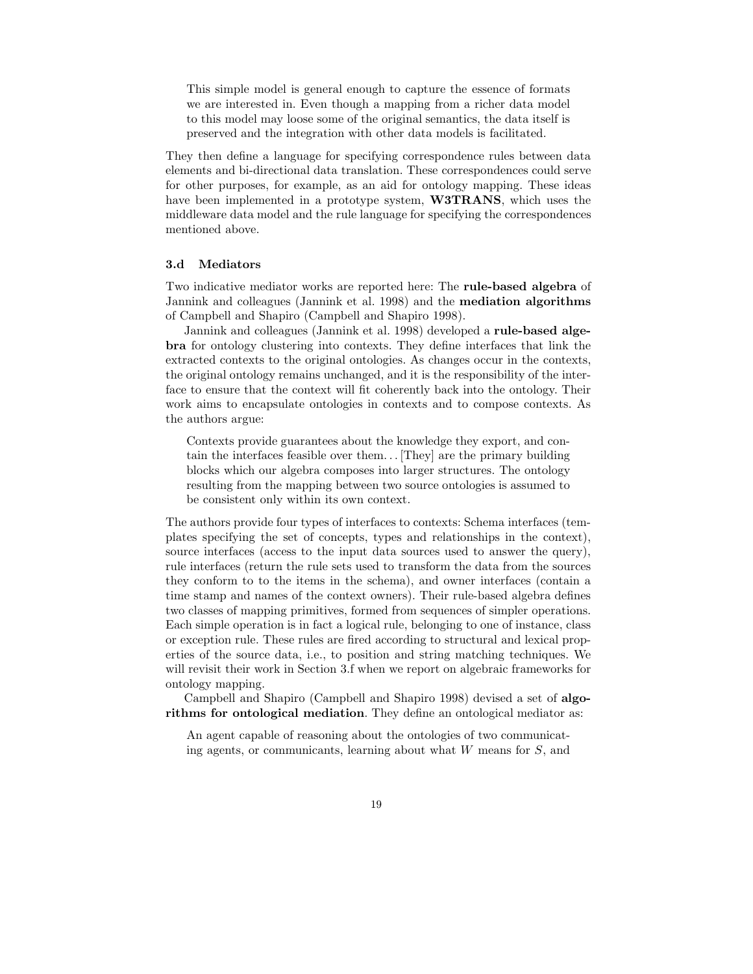This simple model is general enough to capture the essence of formats we are interested in. Even though a mapping from a richer data model to this model may loose some of the original semantics, the data itself is preserved and the integration with other data models is facilitated.

They then define a language for specifying correspondence rules between data elements and bi-directional data translation. These correspondences could serve for other purposes, for example, as an aid for ontology mapping. These ideas have been implemented in a prototype system, **W3TRANS**, which uses the middleware data model and the rule language for specifying the correspondences mentioned above.

#### **3.d Mediators**

Two indicative mediator works are reported here: The **rule-based algebra** of Jannink and colleagues (Jannink et al. 1998) and the **mediation algorithms** of Campbell and Shapiro (Campbell and Shapiro 1998).

Jannink and colleagues (Jannink et al. 1998) developed a **rule-based algebra** for ontology clustering into contexts. They define interfaces that link the extracted contexts to the original ontologies. As changes occur in the contexts, the original ontology remains unchanged, and it is the responsibility of the interface to ensure that the context will fit coherently back into the ontology. Their work aims to encapsulate ontologies in contexts and to compose contexts. As the authors argue:

Contexts provide guarantees about the knowledge they export, and contain the interfaces feasible over them. . . [They] are the primary building blocks which our algebra composes into larger structures. The ontology resulting from the mapping between two source ontologies is assumed to be consistent only within its own context.

The authors provide four types of interfaces to contexts: Schema interfaces (templates specifying the set of concepts, types and relationships in the context), source interfaces (access to the input data sources used to answer the query), rule interfaces (return the rule sets used to transform the data from the sources they conform to to the items in the schema), and owner interfaces (contain a time stamp and names of the context owners). Their rule-based algebra defines two classes of mapping primitives, formed from sequences of simpler operations. Each simple operation is in fact a logical rule, belonging to one of instance, class or exception rule. These rules are fired according to structural and lexical properties of the source data, i.e., to position and string matching techniques. We will revisit their work in Section 3.f when we report on algebraic frameworks for ontology mapping.

Campbell and Shapiro (Campbell and Shapiro 1998) devised a set of **algorithms for ontological mediation**. They define an ontological mediator as:

An agent capable of reasoning about the ontologies of two communicating agents, or communicants, learning about what *W* means for *S*, and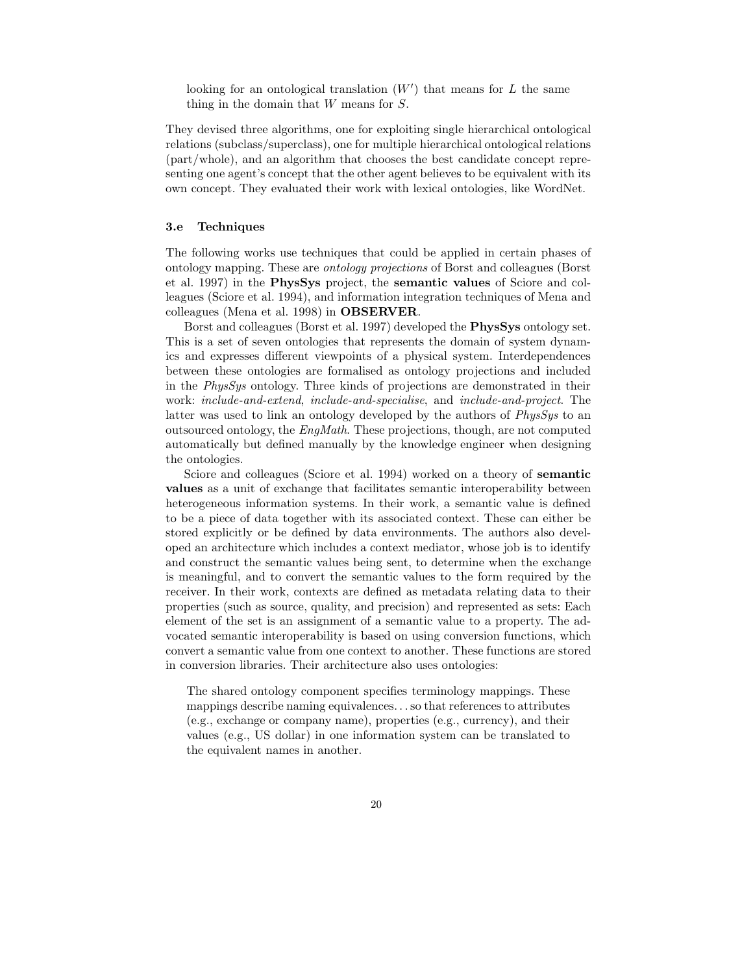looking for an ontological translation (*W* ) that means for *L* the same thing in the domain that *W* means for *S*.

They devised three algorithms, one for exploiting single hierarchical ontological relations (subclass/superclass), one for multiple hierarchical ontological relations (part/whole), and an algorithm that chooses the best candidate concept representing one agent's concept that the other agent believes to be equivalent with its own concept. They evaluated their work with lexical ontologies, like WordNet.

#### **3.e Techniques**

The following works use techniques that could be applied in certain phases of ontology mapping. These are ontology projections of Borst and colleagues (Borst et al. 1997) in the **PhysSys** project, the **semantic values** of Sciore and colleagues (Sciore et al. 1994), and information integration techniques of Mena and colleagues (Mena et al. 1998) in **OBSERVER**.

Borst and colleagues (Borst et al. 1997) developed the **PhysSys** ontology set. This is a set of seven ontologies that represents the domain of system dynamics and expresses different viewpoints of a physical system. Interdependences between these ontologies are formalised as ontology projections and included in the PhysSys ontology. Three kinds of projections are demonstrated in their work: include-and-extend, include-and-specialise, and include-and-project. The latter was used to link an ontology developed by the authors of *PhysSys* to an outsourced ontology, the EngMath. These projections, though, are not computed automatically but defined manually by the knowledge engineer when designing the ontologies.

Sciore and colleagues (Sciore et al. 1994) worked on a theory of **semantic values** as a unit of exchange that facilitates semantic interoperability between heterogeneous information systems. In their work, a semantic value is defined to be a piece of data together with its associated context. These can either be stored explicitly or be defined by data environments. The authors also developed an architecture which includes a context mediator, whose job is to identify and construct the semantic values being sent, to determine when the exchange is meaningful, and to convert the semantic values to the form required by the receiver. In their work, contexts are defined as metadata relating data to their properties (such as source, quality, and precision) and represented as sets: Each element of the set is an assignment of a semantic value to a property. The advocated semantic interoperability is based on using conversion functions, which convert a semantic value from one context to another. These functions are stored in conversion libraries. Their architecture also uses ontologies:

The shared ontology component specifies terminology mappings. These mappings describe naming equivalences. . . so that references to attributes (e.g., exchange or company name), properties (e.g., currency), and their values (e.g., US dollar) in one information system can be translated to the equivalent names in another.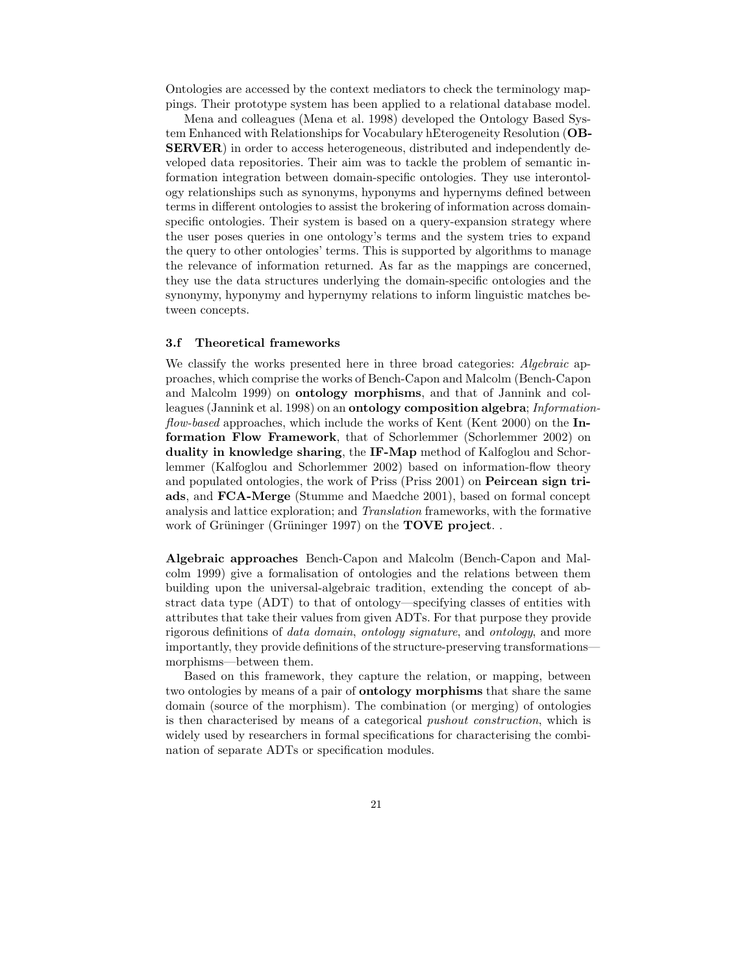Ontologies are accessed by the context mediators to check the terminology mappings. Their prototype system has been applied to a relational database model.

Mena and colleagues (Mena et al. 1998) developed the Ontology Based System Enhanced with Relationships for Vocabulary hEterogeneity Resolution (**OB-SERVER**) in order to access heterogeneous, distributed and independently developed data repositories. Their aim was to tackle the problem of semantic information integration between domain-specific ontologies. They use interontology relationships such as synonyms, hyponyms and hypernyms defined between terms in different ontologies to assist the brokering of information across domainspecific ontologies. Their system is based on a query-expansion strategy where the user poses queries in one ontology's terms and the system tries to expand the query to other ontologies' terms. This is supported by algorithms to manage the relevance of information returned. As far as the mappings are concerned, they use the data structures underlying the domain-specific ontologies and the synonymy, hyponymy and hypernymy relations to inform linguistic matches between concepts.

#### **3.f Theoretical frameworks**

We classify the works presented here in three broad categories: Algebraic approaches, which comprise the works of Bench-Capon and Malcolm (Bench-Capon and Malcolm 1999) on **ontology morphisms**, and that of Jannink and colleagues (Jannink et al. 1998) on an **ontology composition algebra**; Informationflow-based approaches, which include the works of Kent (Kent 2000) on the **Information Flow Framework**, that of Schorlemmer (Schorlemmer 2002) on **duality in knowledge sharing**, the **IF-Map** method of Kalfoglou and Schorlemmer (Kalfoglou and Schorlemmer 2002) based on information-flow theory and populated ontologies, the work of Priss (Priss 2001) on **Peircean sign triads**, and **FCA-Merge** (Stumme and Maedche 2001), based on formal concept analysis and lattice exploration; and Translation frameworks, with the formative work of Grüninger (Grüninger 1997) on the **TOVE** project...

**Algebraic approaches** Bench-Capon and Malcolm (Bench-Capon and Malcolm 1999) give a formalisation of ontologies and the relations between them building upon the universal-algebraic tradition, extending the concept of abstract data type (ADT) to that of ontology—specifying classes of entities with attributes that take their values from given ADTs. For that purpose they provide rigorous definitions of data domain, ontology signature, and ontology, and more importantly, they provide definitions of the structure-preserving transformations morphisms—between them.

Based on this framework, they capture the relation, or mapping, between two ontologies by means of a pair of **ontology morphisms** that share the same domain (source of the morphism). The combination (or merging) of ontologies is then characterised by means of a categorical pushout construction, which is widely used by researchers in formal specifications for characterising the combination of separate ADTs or specification modules.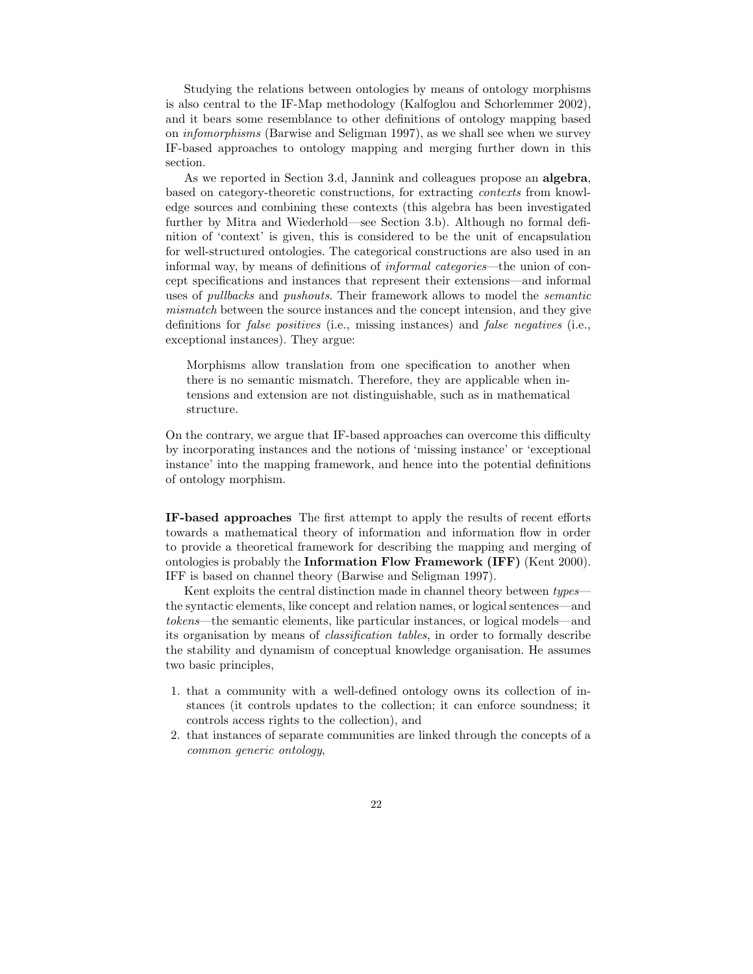Studying the relations between ontologies by means of ontology morphisms is also central to the IF-Map methodology (Kalfoglou and Schorlemmer 2002), and it bears some resemblance to other definitions of ontology mapping based on infomorphisms (Barwise and Seligman 1997), as we shall see when we survey IF-based approaches to ontology mapping and merging further down in this section.

As we reported in Section 3.d, Jannink and colleagues propose an **algebra**, based on category-theoretic constructions, for extracting contexts from knowledge sources and combining these contexts (this algebra has been investigated further by Mitra and Wiederhold—see Section 3.b). Although no formal definition of 'context' is given, this is considered to be the unit of encapsulation for well-structured ontologies. The categorical constructions are also used in an informal way, by means of definitions of informal categories—the union of concept specifications and instances that represent their extensions—and informal uses of pullbacks and pushouts. Their framework allows to model the semantic mismatch between the source instances and the concept intension, and they give definitions for *false positives* (i.e., missing instances) and *false negatives* (i.e., exceptional instances). They argue:

Morphisms allow translation from one specification to another when there is no semantic mismatch. Therefore, they are applicable when intensions and extension are not distinguishable, such as in mathematical structure.

On the contrary, we argue that IF-based approaches can overcome this difficulty by incorporating instances and the notions of 'missing instance' or 'exceptional instance' into the mapping framework, and hence into the potential definitions of ontology morphism.

**IF-based approaches** The first attempt to apply the results of recent efforts towards a mathematical theory of information and information flow in order to provide a theoretical framework for describing the mapping and merging of ontologies is probably the **Information Flow Framework (IFF)** (Kent 2000). IFF is based on channel theory (Barwise and Seligman 1997).

Kent exploits the central distinction made in channel theory between types the syntactic elements, like concept and relation names, or logical sentences—and tokens—the semantic elements, like particular instances, or logical models—and its organisation by means of classification tables, in order to formally describe the stability and dynamism of conceptual knowledge organisation. He assumes two basic principles,

- 1. that a community with a well-defined ontology owns its collection of instances (it controls updates to the collection; it can enforce soundness; it controls access rights to the collection), and
- 2. that instances of separate communities are linked through the concepts of a common generic ontology,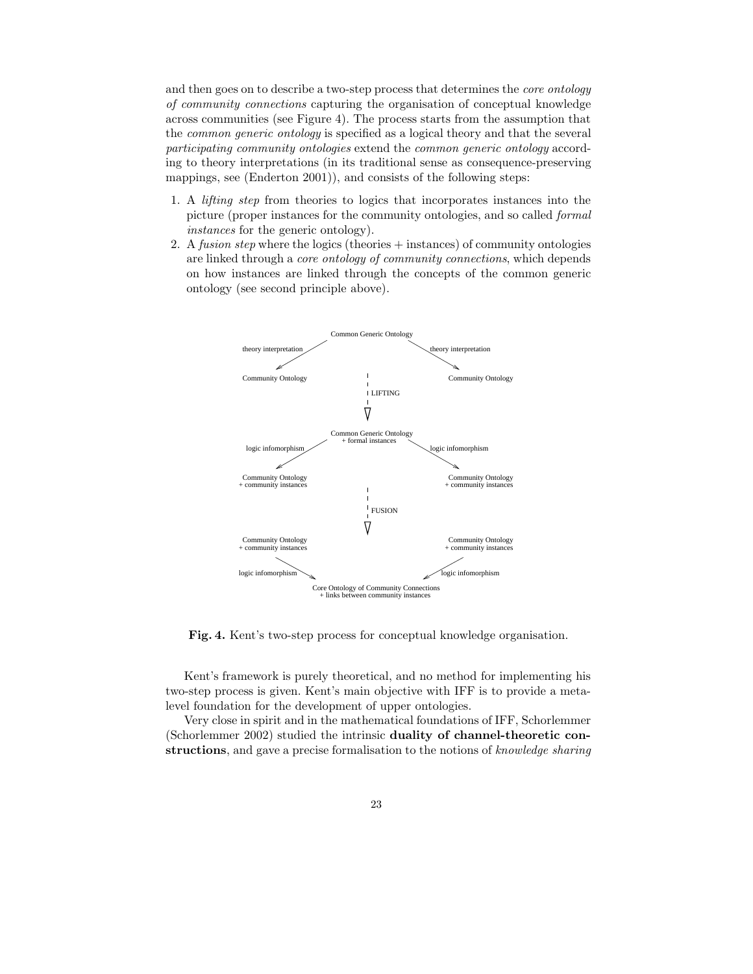and then goes on to describe a two-step process that determines the core ontology of community connections capturing the organisation of conceptual knowledge across communities (see Figure 4). The process starts from the assumption that the common generic ontology is specified as a logical theory and that the several participating community ontologies extend the common generic ontology according to theory interpretations (in its traditional sense as consequence-preserving mappings, see (Enderton 2001)), and consists of the following steps:

- 1. A lifting step from theories to logics that incorporates instances into the picture (proper instances for the community ontologies, and so called formal instances for the generic ontology).
- 2. A fusion step where the logics (theories + instances) of community ontologies are linked through a core ontology of community connections, which depends on how instances are linked through the concepts of the common generic ontology (see second principle above).



**Fig. 4.** Kent's two-step process for conceptual knowledge organisation.

Kent's framework is purely theoretical, and no method for implementing his two-step process is given. Kent's main objective with IFF is to provide a metalevel foundation for the development of upper ontologies.

Very close in spirit and in the mathematical foundations of IFF, Schorlemmer (Schorlemmer 2002) studied the intrinsic **duality of channel-theoretic constructions**, and gave a precise formalisation to the notions of knowledge sharing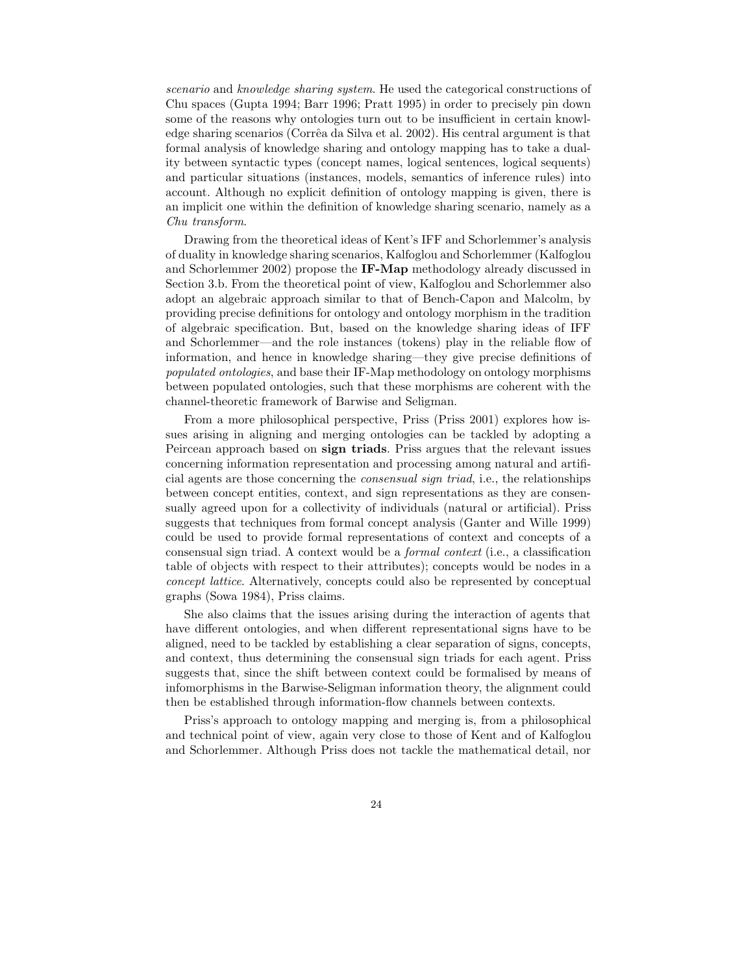scenario and knowledge sharing system. He used the categorical constructions of Chu spaces (Gupta 1994; Barr 1996; Pratt 1995) in order to precisely pin down some of the reasons why ontologies turn out to be insufficient in certain knowledge sharing scenarios (Corrêa da Silva et al. 2002). His central argument is that formal analysis of knowledge sharing and ontology mapping has to take a duality between syntactic types (concept names, logical sentences, logical sequents) and particular situations (instances, models, semantics of inference rules) into account. Although no explicit definition of ontology mapping is given, there is an implicit one within the definition of knowledge sharing scenario, namely as a Chu transform.

Drawing from the theoretical ideas of Kent's IFF and Schorlemmer's analysis of duality in knowledge sharing scenarios, Kalfoglou and Schorlemmer (Kalfoglou and Schorlemmer 2002) propose the **IF-Map** methodology already discussed in Section 3.b. From the theoretical point of view, Kalfoglou and Schorlemmer also adopt an algebraic approach similar to that of Bench-Capon and Malcolm, by providing precise definitions for ontology and ontology morphism in the tradition of algebraic specification. But, based on the knowledge sharing ideas of IFF and Schorlemmer—and the role instances (tokens) play in the reliable flow of information, and hence in knowledge sharing—they give precise definitions of populated ontologies, and base their IF-Map methodology on ontology morphisms between populated ontologies, such that these morphisms are coherent with the channel-theoretic framework of Barwise and Seligman.

From a more philosophical perspective, Priss (Priss 2001) explores how issues arising in aligning and merging ontologies can be tackled by adopting a Peircean approach based on **sign triads**. Priss argues that the relevant issues concerning information representation and processing among natural and artificial agents are those concerning the consensual sign triad, i.e., the relationships between concept entities, context, and sign representations as they are consensually agreed upon for a collectivity of individuals (natural or artificial). Priss suggests that techniques from formal concept analysis (Ganter and Wille 1999) could be used to provide formal representations of context and concepts of a consensual sign triad. A context would be a formal context (i.e., a classification table of objects with respect to their attributes); concepts would be nodes in a concept lattice. Alternatively, concepts could also be represented by conceptual graphs (Sowa 1984), Priss claims.

She also claims that the issues arising during the interaction of agents that have different ontologies, and when different representational signs have to be aligned, need to be tackled by establishing a clear separation of signs, concepts, and context, thus determining the consensual sign triads for each agent. Priss suggests that, since the shift between context could be formalised by means of infomorphisms in the Barwise-Seligman information theory, the alignment could then be established through information-flow channels between contexts.

Priss's approach to ontology mapping and merging is, from a philosophical and technical point of view, again very close to those of Kent and of Kalfoglou and Schorlemmer. Although Priss does not tackle the mathematical detail, nor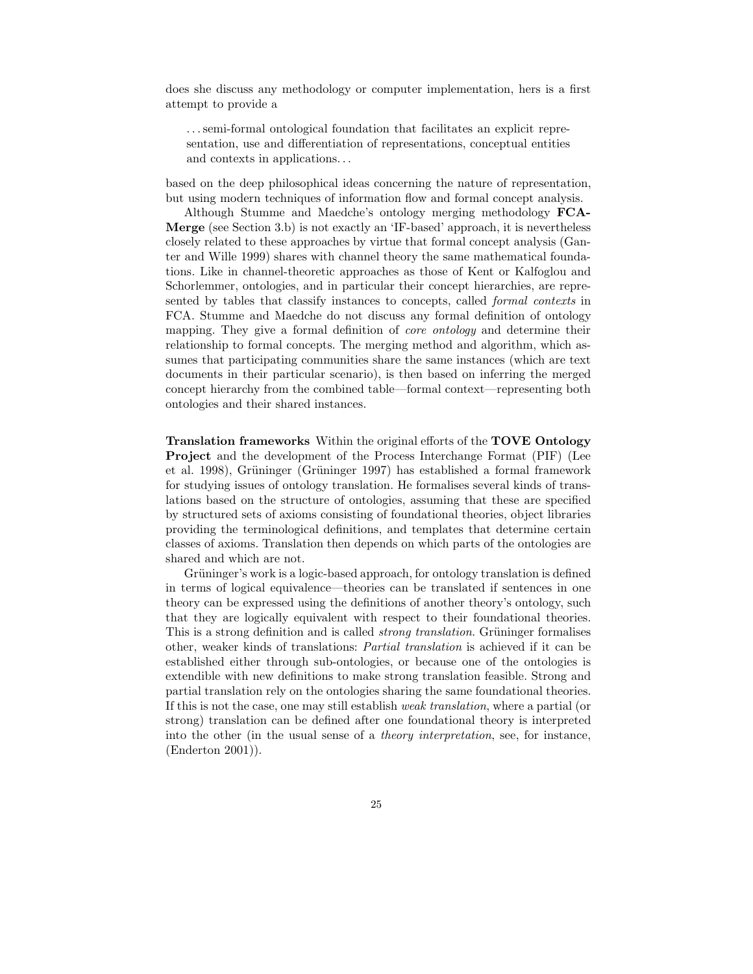does she discuss any methodology or computer implementation, hers is a first attempt to provide a

. . . semi-formal ontological foundation that facilitates an explicit representation, use and differentiation of representations, conceptual entities and contexts in applications. . .

based on the deep philosophical ideas concerning the nature of representation, but using modern techniques of information flow and formal concept analysis.

Although Stumme and Maedche's ontology merging methodology **FCA-Merge** (see Section 3.b) is not exactly an 'IF-based' approach, it is nevertheless closely related to these approaches by virtue that formal concept analysis (Ganter and Wille 1999) shares with channel theory the same mathematical foundations. Like in channel-theoretic approaches as those of Kent or Kalfoglou and Schorlemmer, ontologies, and in particular their concept hierarchies, are represented by tables that classify instances to concepts, called *formal contexts* in FCA. Stumme and Maedche do not discuss any formal definition of ontology mapping. They give a formal definition of *core ontology* and determine their relationship to formal concepts. The merging method and algorithm, which assumes that participating communities share the same instances (which are text documents in their particular scenario), is then based on inferring the merged concept hierarchy from the combined table—formal context—representing both ontologies and their shared instances.

**Translation frameworks** Within the original efforts of the **TOVE Ontology Project** and the development of the Process Interchange Format (PIF) (Lee et al. 1998), Grüninger (Grüninger 1997) has established a formal framework for studying issues of ontology translation. He formalises several kinds of translations based on the structure of ontologies, assuming that these are specified by structured sets of axioms consisting of foundational theories, object libraries providing the terminological definitions, and templates that determine certain classes of axioms. Translation then depends on which parts of the ontologies are shared and which are not.

Grüninger's work is a logic-based approach, for ontology translation is defined in terms of logical equivalence—theories can be translated if sentences in one theory can be expressed using the definitions of another theory's ontology, such that they are logically equivalent with respect to their foundational theories. This is a strong definition and is called *strong translation*. Grüninger formalises other, weaker kinds of translations: Partial translation is achieved if it can be established either through sub-ontologies, or because one of the ontologies is extendible with new definitions to make strong translation feasible. Strong and partial translation rely on the ontologies sharing the same foundational theories. If this is not the case, one may still establish weak translation, where a partial (or strong) translation can be defined after one foundational theory is interpreted into the other (in the usual sense of a theory interpretation, see, for instance, (Enderton 2001)).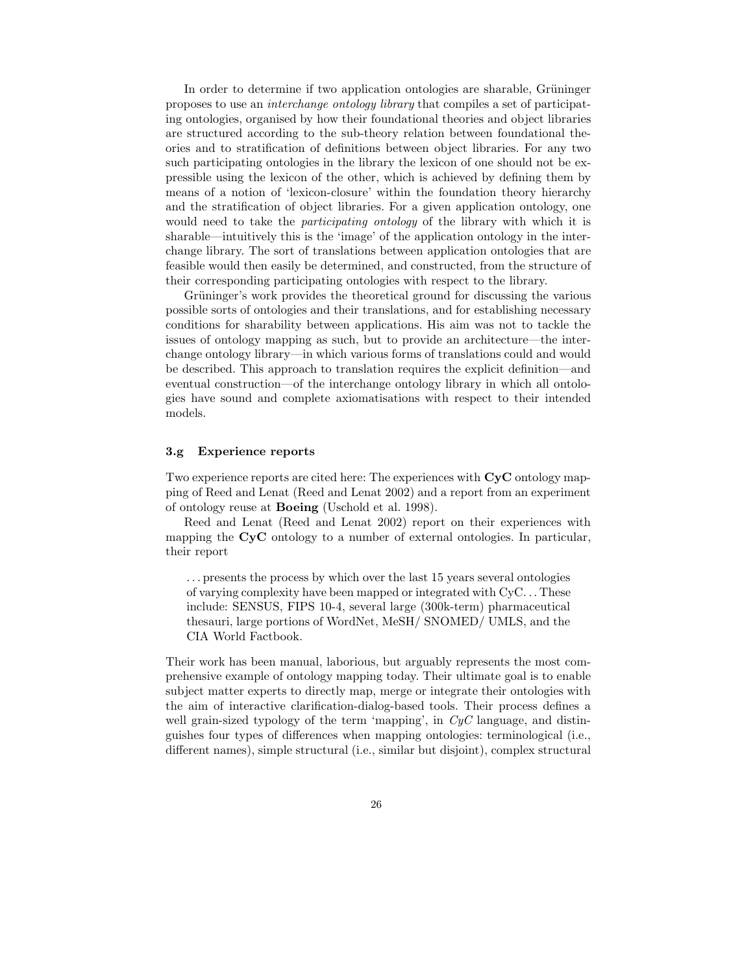In order to determine if two application ontologies are sharable, Grüninger proposes to use an interchange ontology library that compiles a set of participating ontologies, organised by how their foundational theories and object libraries are structured according to the sub-theory relation between foundational theories and to stratification of definitions between object libraries. For any two such participating ontologies in the library the lexicon of one should not be expressible using the lexicon of the other, which is achieved by defining them by means of a notion of 'lexicon-closure' within the foundation theory hierarchy and the stratification of object libraries. For a given application ontology, one would need to take the participating ontology of the library with which it is sharable—intuitively this is the 'image' of the application ontology in the interchange library. The sort of translations between application ontologies that are feasible would then easily be determined, and constructed, from the structure of their corresponding participating ontologies with respect to the library.

Grüninger's work provides the theoretical ground for discussing the various possible sorts of ontologies and their translations, and for establishing necessary conditions for sharability between applications. His aim was not to tackle the issues of ontology mapping as such, but to provide an architecture—the interchange ontology library—in which various forms of translations could and would be described. This approach to translation requires the explicit definition—and eventual construction—of the interchange ontology library in which all ontologies have sound and complete axiomatisations with respect to their intended models.

#### **3.g Experience reports**

Two experience reports are cited here: The experiences with **CyC** ontology mapping of Reed and Lenat (Reed and Lenat 2002) and a report from an experiment of ontology reuse at **Boeing** (Uschold et al. 1998).

Reed and Lenat (Reed and Lenat 2002) report on their experiences with mapping the **CyC** ontology to a number of external ontologies. In particular, their report

. . . presents the process by which over the last 15 years several ontologies of varying complexity have been mapped or integrated with CyC. . . These include: SENSUS, FIPS 10-4, several large (300k-term) pharmaceutical thesauri, large portions of WordNet, MeSH/ SNOMED/ UMLS, and the CIA World Factbook.

Their work has been manual, laborious, but arguably represents the most comprehensive example of ontology mapping today. Their ultimate goal is to enable subject matter experts to directly map, merge or integrate their ontologies with the aim of interactive clarification-dialog-based tools. Their process defines a well grain-sized typology of the term 'mapping', in  $Cyc$  language, and distinguishes four types of differences when mapping ontologies: terminological (i.e., different names), simple structural (i.e., similar but disjoint), complex structural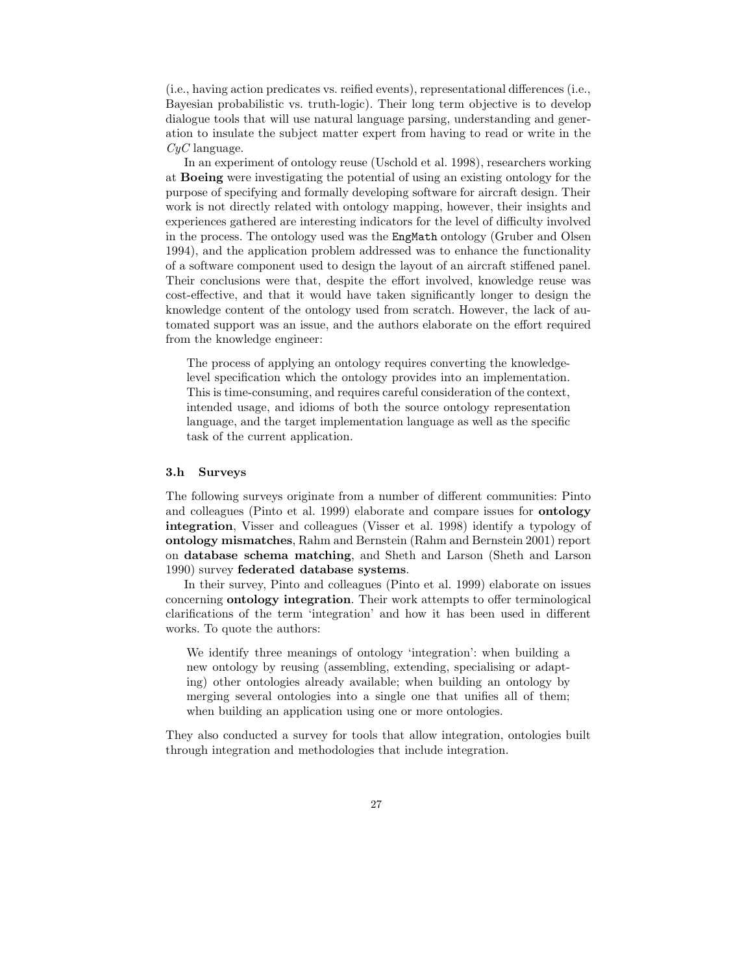(i.e., having action predicates vs. reified events), representational differences (i.e., Bayesian probabilistic vs. truth-logic). Their long term objective is to develop dialogue tools that will use natural language parsing, understanding and generation to insulate the subject matter expert from having to read or write in the  $Cyc$  language.

In an experiment of ontology reuse (Uschold et al. 1998), researchers working at **Boeing** were investigating the potential of using an existing ontology for the purpose of specifying and formally developing software for aircraft design. Their work is not directly related with ontology mapping, however, their insights and experiences gathered are interesting indicators for the level of difficulty involved in the process. The ontology used was the EngMath ontology (Gruber and Olsen 1994), and the application problem addressed was to enhance the functionality of a software component used to design the layout of an aircraft stiffened panel. Their conclusions were that, despite the effort involved, knowledge reuse was cost-effective, and that it would have taken significantly longer to design the knowledge content of the ontology used from scratch. However, the lack of automated support was an issue, and the authors elaborate on the effort required from the knowledge engineer:

The process of applying an ontology requires converting the knowledgelevel specification which the ontology provides into an implementation. This is time-consuming, and requires careful consideration of the context, intended usage, and idioms of both the source ontology representation language, and the target implementation language as well as the specific task of the current application.

#### **3.h Surveys**

The following surveys originate from a number of different communities: Pinto and colleagues (Pinto et al. 1999) elaborate and compare issues for **ontology integration**, Visser and colleagues (Visser et al. 1998) identify a typology of **ontology mismatches**, Rahm and Bernstein (Rahm and Bernstein 2001) report on **database schema matching**, and Sheth and Larson (Sheth and Larson 1990) survey **federated database systems**.

In their survey, Pinto and colleagues (Pinto et al. 1999) elaborate on issues concerning **ontology integration**. Their work attempts to offer terminological clarifications of the term 'integration' and how it has been used in different works. To quote the authors:

We identify three meanings of ontology 'integration': when building a new ontology by reusing (assembling, extending, specialising or adapting) other ontologies already available; when building an ontology by merging several ontologies into a single one that unifies all of them; when building an application using one or more ontologies.

They also conducted a survey for tools that allow integration, ontologies built through integration and methodologies that include integration.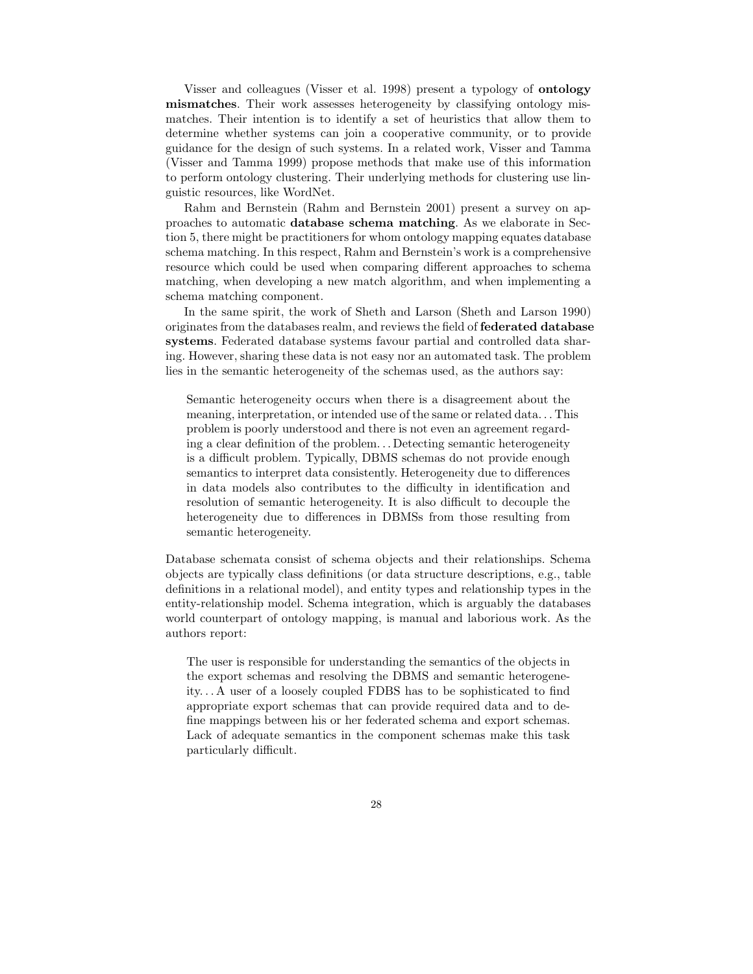Visser and colleagues (Visser et al. 1998) present a typology of **ontology mismatches**. Their work assesses heterogeneity by classifying ontology mismatches. Their intention is to identify a set of heuristics that allow them to determine whether systems can join a cooperative community, or to provide guidance for the design of such systems. In a related work, Visser and Tamma (Visser and Tamma 1999) propose methods that make use of this information to perform ontology clustering. Their underlying methods for clustering use linguistic resources, like WordNet.

Rahm and Bernstein (Rahm and Bernstein 2001) present a survey on approaches to automatic **database schema matching**. As we elaborate in Section 5, there might be practitioners for whom ontology mapping equates database schema matching. In this respect, Rahm and Bernstein's work is a comprehensive resource which could be used when comparing different approaches to schema matching, when developing a new match algorithm, and when implementing a schema matching component.

In the same spirit, the work of Sheth and Larson (Sheth and Larson 1990) originates from the databases realm, and reviews the field of **federated database systems**. Federated database systems favour partial and controlled data sharing. However, sharing these data is not easy nor an automated task. The problem lies in the semantic heterogeneity of the schemas used, as the authors say:

Semantic heterogeneity occurs when there is a disagreement about the meaning, interpretation, or intended use of the same or related data. . . This problem is poorly understood and there is not even an agreement regarding a clear definition of the problem. . . Detecting semantic heterogeneity is a difficult problem. Typically, DBMS schemas do not provide enough semantics to interpret data consistently. Heterogeneity due to differences in data models also contributes to the difficulty in identification and resolution of semantic heterogeneity. It is also difficult to decouple the heterogeneity due to differences in DBMSs from those resulting from semantic heterogeneity.

Database schemata consist of schema objects and their relationships. Schema objects are typically class definitions (or data structure descriptions, e.g., table definitions in a relational model), and entity types and relationship types in the entity-relationship model. Schema integration, which is arguably the databases world counterpart of ontology mapping, is manual and laborious work. As the authors report:

The user is responsible for understanding the semantics of the objects in the export schemas and resolving the DBMS and semantic heterogeneity. . . A user of a loosely coupled FDBS has to be sophisticated to find appropriate export schemas that can provide required data and to define mappings between his or her federated schema and export schemas. Lack of adequate semantics in the component schemas make this task particularly difficult.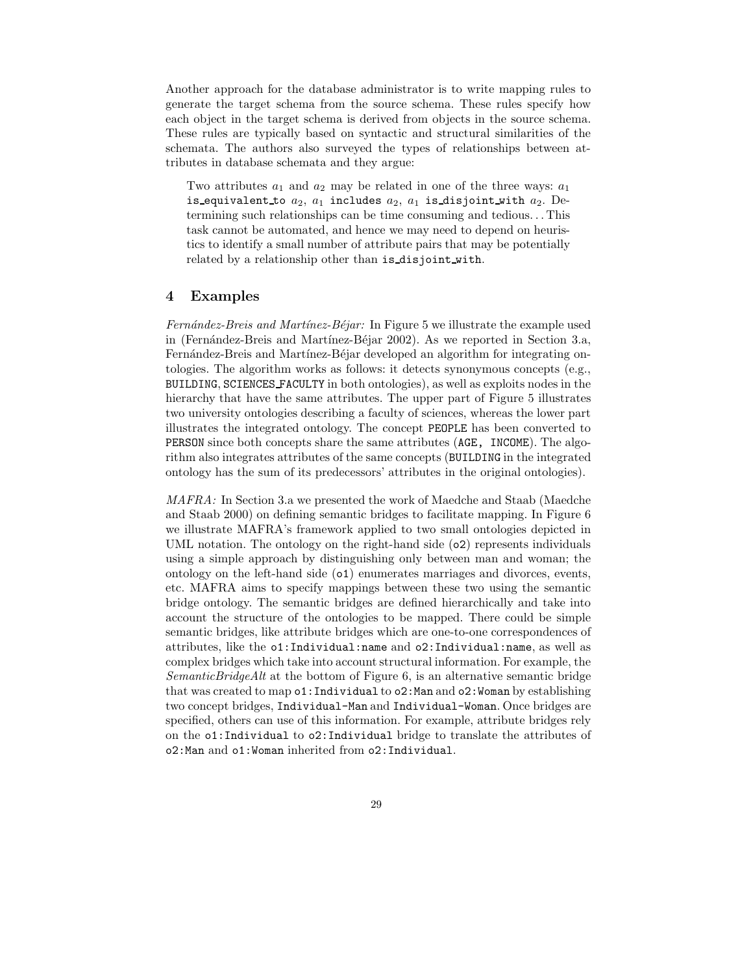Another approach for the database administrator is to write mapping rules to generate the target schema from the source schema. These rules specify how each object in the target schema is derived from objects in the source schema. These rules are typically based on syntactic and structural similarities of the schemata. The authors also surveyed the types of relationships between attributes in database schemata and they argue:

Two attributes  $a_1$  and  $a_2$  may be related in one of the three ways:  $a_1$ is equivalent to  $a_2$ ,  $a_1$  includes  $a_2$ ,  $a_1$  is disjoint with  $a_2$ . Determining such relationships can be time consuming and tedious. . . This task cannot be automated, and hence we may need to depend on heuristics to identify a small number of attribute pairs that may be potentially related by a relationship other than is disjoint with.

## **4 Examples**

Fernández-Breis and Martínez-Béjar: In Figure 5 we illustrate the example used in (Fernández-Breis and Martínez-Béjar 2002). As we reported in Section 3.a, Fernández-Breis and Martínez-Béjar developed an algorithm for integrating ontologies. The algorithm works as follows: it detects synonymous concepts (e.g., BUILDING, SCIENCES FACULTY in both ontologies), as well as exploits nodes in the hierarchy that have the same attributes. The upper part of Figure 5 illustrates two university ontologies describing a faculty of sciences, whereas the lower part illustrates the integrated ontology. The concept PEOPLE has been converted to PERSON since both concepts share the same attributes (AGE, INCOME). The algorithm also integrates attributes of the same concepts (BUILDING in the integrated ontology has the sum of its predecessors' attributes in the original ontologies).

MAFRA: In Section 3.a we presented the work of Maedche and Staab (Maedche and Staab 2000) on defining semantic bridges to facilitate mapping. In Figure 6 we illustrate MAFRA's framework applied to two small ontologies depicted in UML notation. The ontology on the right-hand side (o2) represents individuals using a simple approach by distinguishing only between man and woman; the ontology on the left-hand side (o1) enumerates marriages and divorces, events, etc. MAFRA aims to specify mappings between these two using the semantic bridge ontology. The semantic bridges are defined hierarchically and take into account the structure of the ontologies to be mapped. There could be simple semantic bridges, like attribute bridges which are one-to-one correspondences of attributes, like the o1:Individual:name and o2:Individual:name, as well as complex bridges which take into account structural information. For example, the SemanticBridgeAlt at the bottom of Figure 6, is an alternative semantic bridge that was created to map o1: Individual to o2: Man and o2: Woman by establishing two concept bridges, Individual-Man and Individual-Woman. Once bridges are specified, others can use of this information. For example, attribute bridges rely on the o1:Individual to o2:Individual bridge to translate the attributes of o2:Man and o1:Woman inherited from o2:Individual.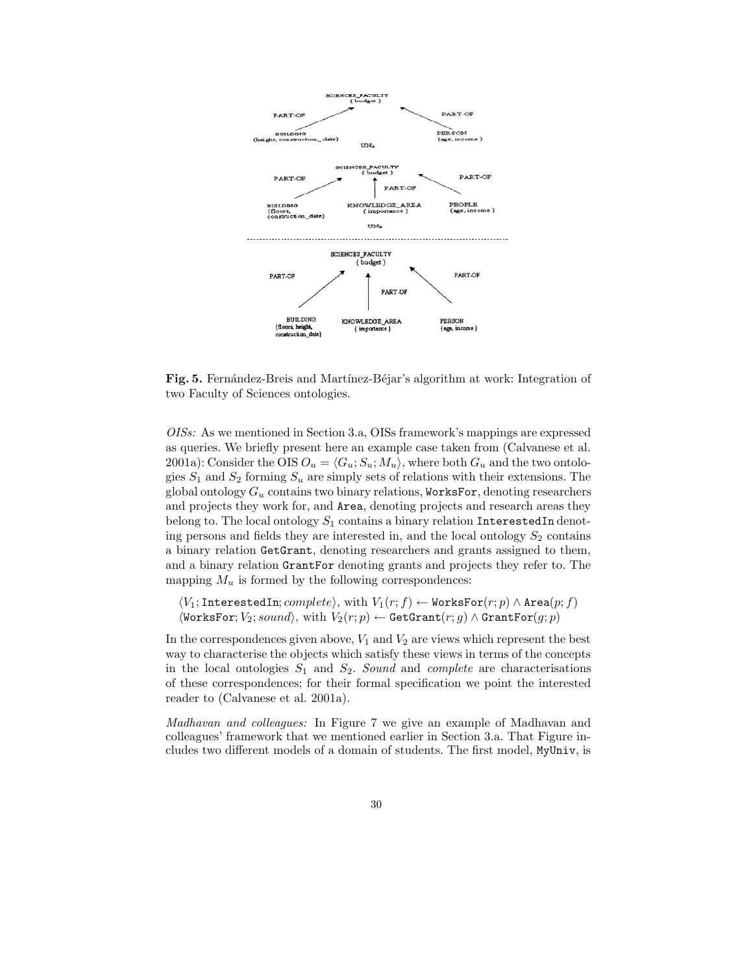

Fig. 5. Fernández-Breis and Martínez-Béjar's algorithm at work: Integration of two Faculty of Sciences ontologies.

OISs: As we mentioned in Section 3.a, OISs framework's mappings are expressed as queries. We briefly present here an example case taken from (Calvanese et al. 2001a): Consider the OIS  $O_u = \langle G_u; S_u; M_u \rangle$ , where both  $G_u$  and the two ontologies  $S_1$  and  $S_2$  forming  $S_u$  are simply sets of relations with their extensions. The global ontology *G<sup>u</sup>* contains two binary relations, WorksFor, denoting researchers and projects they work for, and Area, denoting projects and research areas they belong to. The local ontology  $S_1$  contains a binary relation InterestedIn denoting persons and fields they are interested in, and the local ontology  $S_2$  contains a binary relation GetGrant, denoting researchers and grants assigned to them, and a binary relation GrantFor denoting grants and projects they refer to. The mapping  $M_u$  is formed by the following correspondences:

 $\langle V_1; \text{InterestedIn}; \text{complete} \rangle$ , with  $V_1(r; f) \leftarrow \text{WorksFor}(r; p) \land \text{Area}(p; f)$  $\langle$ WorksFor;  $V_2$ ; *sound* $\rangle$ , with  $V_2(r;p) \leftarrow$  GetGrant $(r; g) \wedge$  GrantFor $(g; p)$ 

In the correspondences given above,  $V_1$  and  $V_2$  are views which represent the best way to characterise the objects which satisfy these views in terms of the concepts in the local ontologies  $S_1$  and  $S_2$ . Sound and *complete* are characterisations of these correspondences; for their formal specification we point the interested reader to (Calvanese et al. 2001a).

Madhavan and colleagues: In Figure 7 we give an example of Madhavan and colleagues' framework that we mentioned earlier in Section 3.a. That Figure includes two different models of a domain of students. The first model, MyUniv, is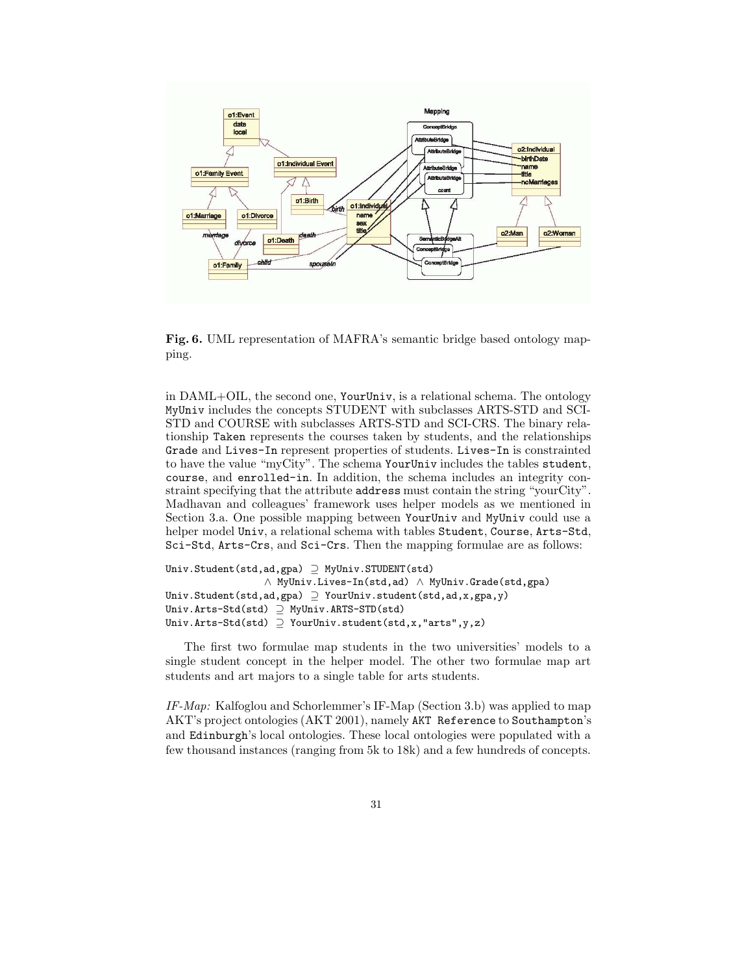

**Fig. 6.** UML representation of MAFRA's semantic bridge based ontology mapping.

in DAML+OIL, the second one, YourUniv, is a relational schema. The ontology MyUniv includes the concepts STUDENT with subclasses ARTS-STD and SCI-STD and COURSE with subclasses ARTS-STD and SCI-CRS. The binary relationship Taken represents the courses taken by students, and the relationships Grade and Lives-In represent properties of students. Lives-In is constrainted to have the value "myCity". The schema YourUniv includes the tables student, course, and enrolled-in. In addition, the schema includes an integrity constraint specifying that the attribute address must contain the string "yourCity". Madhavan and colleagues' framework uses helper models as we mentioned in Section 3.a. One possible mapping between YourUniv and MyUniv could use a helper model Univ, a relational schema with tables Student, Course, Arts-Std, Sci-Std, Arts-Crs, and Sci-Crs. Then the mapping formulae are as follows:

```
Univ.Student(std,ad,gpa) ⊇ MyUniv.STUDENT(std)
                 ∧ MyUniv.Lives-In(std,ad) ∧ MyUniv.Grade(std,gpa)
Univ.Student(std,ad,gpa) ⊇ YourUniv.student(std,ad,x,gpa,y)
Univ.Arts-Std(std) ⊇ MyUniv.ARTS-STD(std)
Univ.Arts-Std(std) ⊇ YourUniv.student(std,x,"arts",y,z)
```
The first two formulae map students in the two universities' models to a single student concept in the helper model. The other two formulae map art students and art majors to a single table for arts students.

IF-Map: Kalfoglou and Schorlemmer's IF-Map (Section 3.b) was applied to map AKT's project ontologies (AKT 2001), namely AKT Reference to Southampton's and Edinburgh's local ontologies. These local ontologies were populated with a few thousand instances (ranging from 5k to 18k) and a few hundreds of concepts.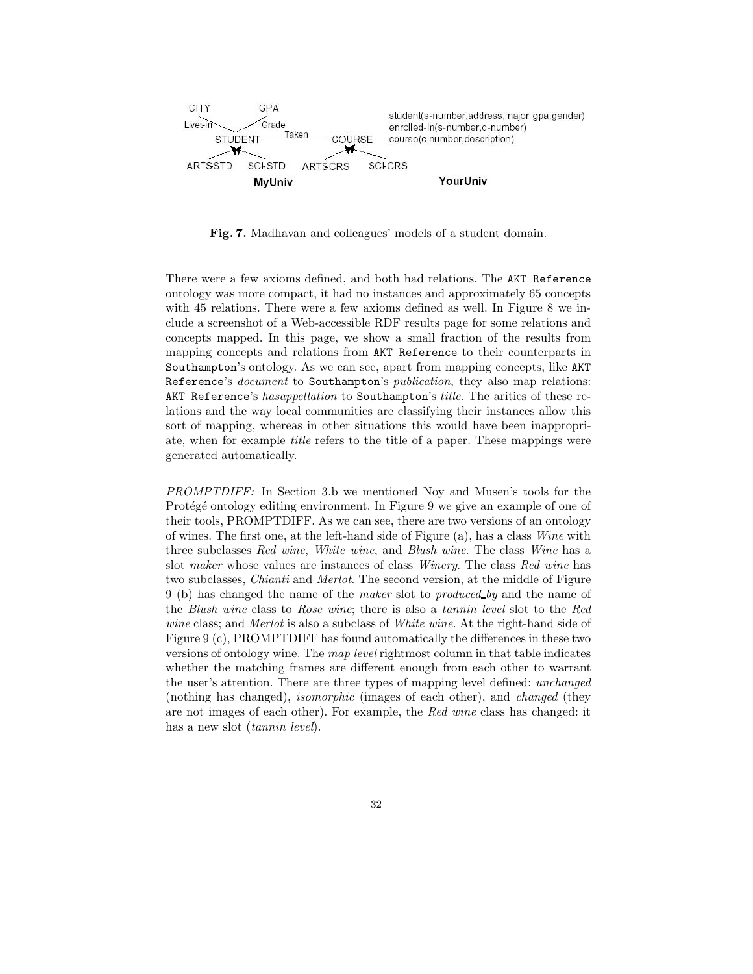

**Fig. 7.** Madhavan and colleagues' models of a student domain.

There were a few axioms defined, and both had relations. The AKT Reference ontology was more compact, it had no instances and approximately 65 concepts with 45 relations. There were a few axioms defined as well. In Figure 8 we include a screenshot of a Web-accessible RDF results page for some relations and concepts mapped. In this page, we show a small fraction of the results from mapping concepts and relations from AKT Reference to their counterparts in Southampton's ontology. As we can see, apart from mapping concepts, like AKT Reference's *document* to Southampton's *publication*, they also map relations: AKT Reference's hasappellation to Southampton's title. The arities of these relations and the way local communities are classifying their instances allow this sort of mapping, whereas in other situations this would have been inappropriate, when for example title refers to the title of a paper. These mappings were generated automatically.

PROMPTDIFF: In Section 3.b we mentioned Noy and Musen's tools for the Protégé ontology editing environment. In Figure 9 we give an example of one of their tools, PROMPTDIFF. As we can see, there are two versions of an ontology of wines. The first one, at the left-hand side of Figure (a), has a class Wine with three subclasses Red wine, White wine, and Blush wine. The class Wine has a slot maker whose values are instances of class Winery. The class Red wine has two subclasses, Chianti and Merlot. The second version, at the middle of Figure 9 (b) has changed the name of the maker slot to produced by and the name of the Blush wine class to Rose wine; there is also a tannin level slot to the Red wine class; and *Merlot* is also a subclass of *White wine*. At the right-hand side of Figure 9 (c), PROMPTDIFF has found automatically the differences in these two versions of ontology wine. The map level rightmost column in that table indicates whether the matching frames are different enough from each other to warrant the user's attention. There are three types of mapping level defined: unchanged (nothing has changed), isomorphic (images of each other), and changed (they are not images of each other). For example, the Red wine class has changed: it has a new slot *(tannin level)*.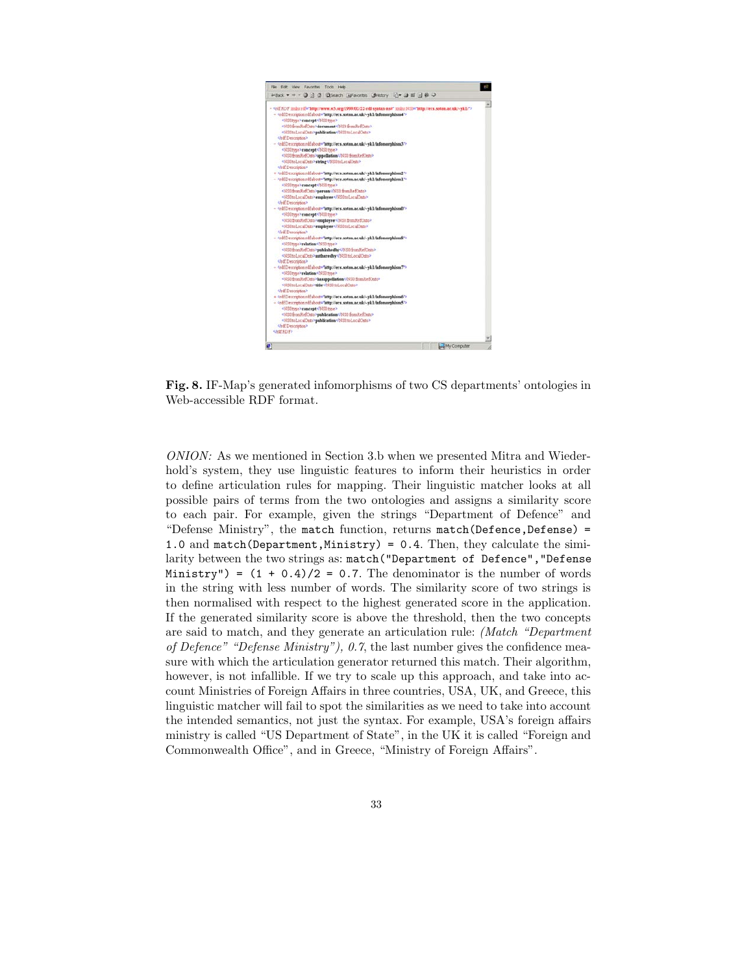

**Fig. 8.** IF-Map's generated infomorphisms of two CS departments' ontologies in Web-accessible RDF format.

ONION: As we mentioned in Section 3.b when we presented Mitra and Wiederhold's system, they use linguistic features to inform their heuristics in order to define articulation rules for mapping. Their linguistic matcher looks at all possible pairs of terms from the two ontologies and assigns a similarity score to each pair. For example, given the strings "Department of Defence" and "Defense Ministry", the match function, returns match(Defence, Defense) = 1.0 and match(Department,Ministry) = 0.4. Then, they calculate the similarity between the two strings as: match("Department of Defence","Defense Ministry") =  $(1 + 0.4)/2 = 0.7$ . The denominator is the number of words in the string with less number of words. The similarity score of two strings is then normalised with respect to the highest generated score in the application. If the generated similarity score is above the threshold, then the two concepts are said to match, and they generate an articulation rule: (Match "Department of Defence" "Defense Ministry"), 0.7, the last number gives the confidence measure with which the articulation generator returned this match. Their algorithm, however, is not infallible. If we try to scale up this approach, and take into account Ministries of Foreign Affairs in three countries, USA, UK, and Greece, this linguistic matcher will fail to spot the similarities as we need to take into account the intended semantics, not just the syntax. For example, USA's foreign affairs ministry is called "US Department of State", in the UK it is called "Foreign and Commonwealth Office", and in Greece, "Ministry of Foreign Affairs".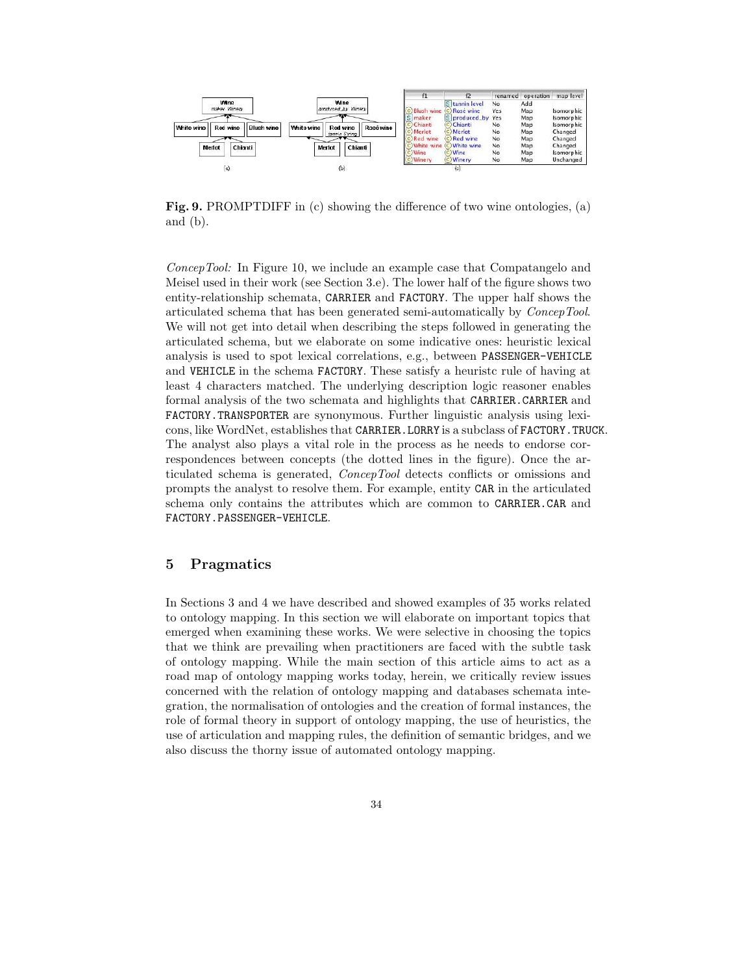

**Fig. 9.** PROMPTDIFF in (c) showing the difference of two wine ontologies, (a) and (b).

ConcepTool: In Figure 10, we include an example case that Compatangelo and Meisel used in their work (see Section 3.e). The lower half of the figure shows two entity-relationship schemata, CARRIER and FACTORY. The upper half shows the articulated schema that has been generated semi-automatically by ConcepTool. We will not get into detail when describing the steps followed in generating the articulated schema, but we elaborate on some indicative ones: heuristic lexical analysis is used to spot lexical correlations, e.g., between PASSENGER-VEHICLE and VEHICLE in the schema FACTORY. These satisfy a heuristc rule of having at least 4 characters matched. The underlying description logic reasoner enables formal analysis of the two schemata and highlights that CARRIER.CARRIER and FACTORY.TRANSPORTER are synonymous. Further linguistic analysis using lexicons, like WordNet, establishes that CARRIER.LORRY is a subclass of FACTORY.TRUCK. The analyst also plays a vital role in the process as he needs to endorse correspondences between concepts (the dotted lines in the figure). Once the articulated schema is generated, ConcepTool detects conflicts or omissions and prompts the analyst to resolve them. For example, entity CAR in the articulated schema only contains the attributes which are common to CARRIER.CAR and FACTORY.PASSENGER-VEHICLE.

# **5 Pragmatics**

In Sections 3 and 4 we have described and showed examples of 35 works related to ontology mapping. In this section we will elaborate on important topics that emerged when examining these works. We were selective in choosing the topics that we think are prevailing when practitioners are faced with the subtle task of ontology mapping. While the main section of this article aims to act as a road map of ontology mapping works today, herein, we critically review issues concerned with the relation of ontology mapping and databases schemata integration, the normalisation of ontologies and the creation of formal instances, the role of formal theory in support of ontology mapping, the use of heuristics, the use of articulation and mapping rules, the definition of semantic bridges, and we also discuss the thorny issue of automated ontology mapping.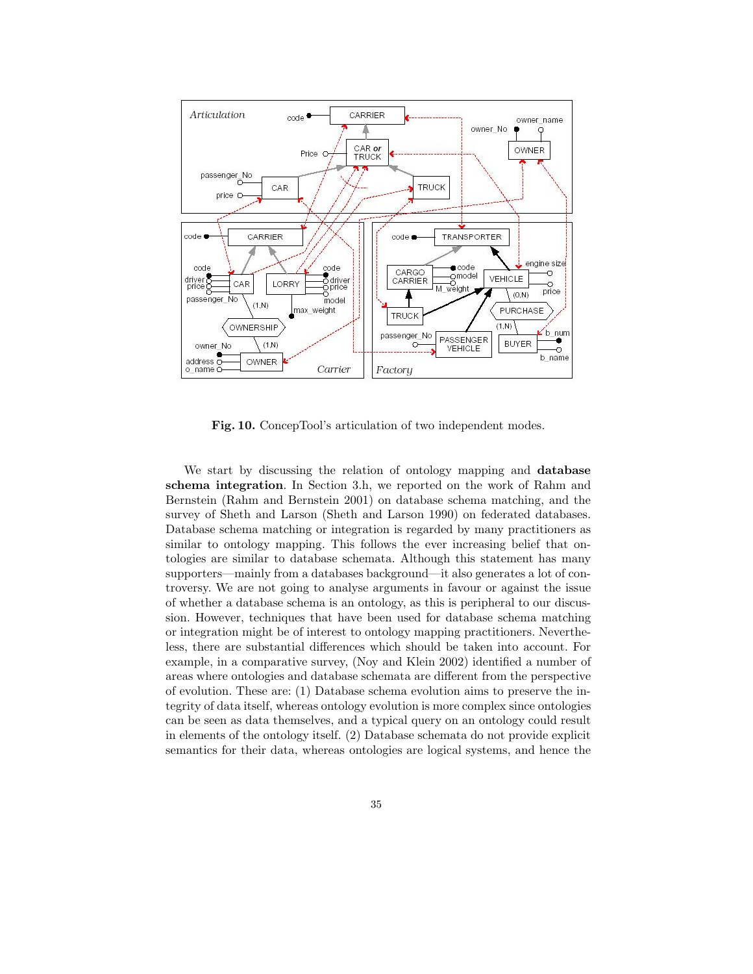

**Fig. 10.** ConcepTool's articulation of two independent modes.

We start by discussing the relation of ontology mapping and **database schema integration**. In Section 3.h, we reported on the work of Rahm and Bernstein (Rahm and Bernstein 2001) on database schema matching, and the survey of Sheth and Larson (Sheth and Larson 1990) on federated databases. Database schema matching or integration is regarded by many practitioners as similar to ontology mapping. This follows the ever increasing belief that ontologies are similar to database schemata. Although this statement has many supporters—mainly from a databases background—it also generates a lot of controversy. We are not going to analyse arguments in favour or against the issue of whether a database schema is an ontology, as this is peripheral to our discussion. However, techniques that have been used for database schema matching or integration might be of interest to ontology mapping practitioners. Nevertheless, there are substantial differences which should be taken into account. For example, in a comparative survey, (Noy and Klein 2002) identified a number of areas where ontologies and database schemata are different from the perspective of evolution. These are: (1) Database schema evolution aims to preserve the integrity of data itself, whereas ontology evolution is more complex since ontologies can be seen as data themselves, and a typical query on an ontology could result in elements of the ontology itself. (2) Database schemata do not provide explicit semantics for their data, whereas ontologies are logical systems, and hence the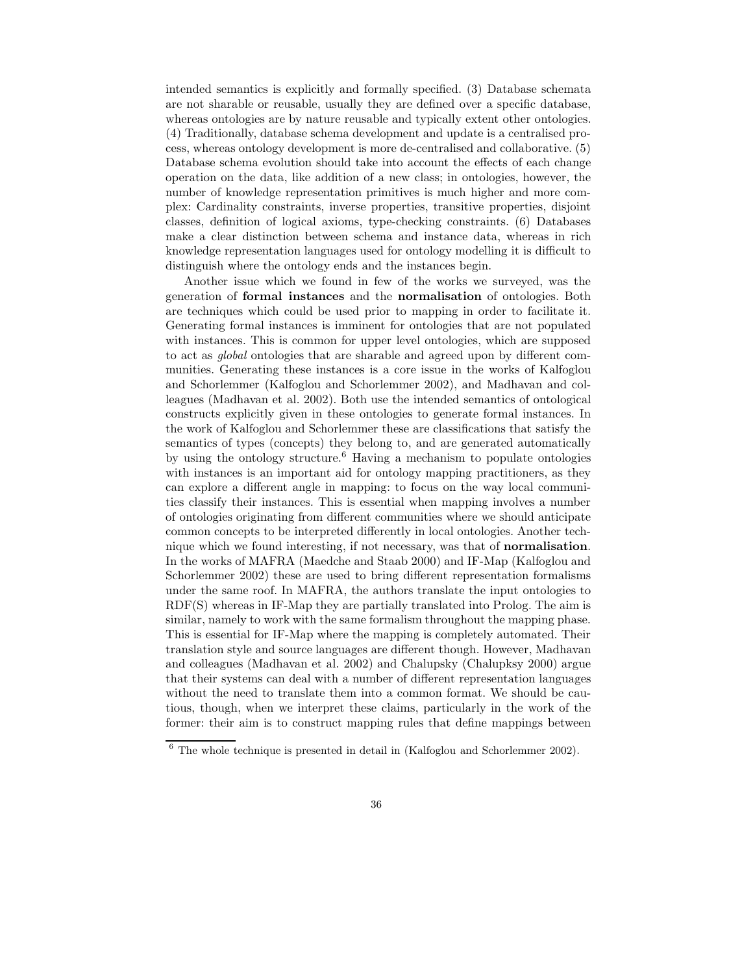intended semantics is explicitly and formally specified. (3) Database schemata are not sharable or reusable, usually they are defined over a specific database, whereas ontologies are by nature reusable and typically extent other ontologies. (4) Traditionally, database schema development and update is a centralised process, whereas ontology development is more de-centralised and collaborative. (5) Database schema evolution should take into account the effects of each change operation on the data, like addition of a new class; in ontologies, however, the number of knowledge representation primitives is much higher and more complex: Cardinality constraints, inverse properties, transitive properties, disjoint classes, definition of logical axioms, type-checking constraints. (6) Databases make a clear distinction between schema and instance data, whereas in rich knowledge representation languages used for ontology modelling it is difficult to distinguish where the ontology ends and the instances begin.

Another issue which we found in few of the works we surveyed, was the generation of **formal instances** and the **normalisation** of ontologies. Both are techniques which could be used prior to mapping in order to facilitate it. Generating formal instances is imminent for ontologies that are not populated with instances. This is common for upper level ontologies, which are supposed to act as global ontologies that are sharable and agreed upon by different communities. Generating these instances is a core issue in the works of Kalfoglou and Schorlemmer (Kalfoglou and Schorlemmer 2002), and Madhavan and colleagues (Madhavan et al. 2002). Both use the intended semantics of ontological constructs explicitly given in these ontologies to generate formal instances. In the work of Kalfoglou and Schorlemmer these are classifications that satisfy the semantics of types (concepts) they belong to, and are generated automatically by using the ontology structure.<sup>6</sup> Having a mechanism to populate ontologies with instances is an important aid for ontology mapping practitioners, as they can explore a different angle in mapping: to focus on the way local communities classify their instances. This is essential when mapping involves a number of ontologies originating from different communities where we should anticipate common concepts to be interpreted differently in local ontologies. Another technique which we found interesting, if not necessary, was that of **normalisation**. In the works of MAFRA (Maedche and Staab 2000) and IF-Map (Kalfoglou and Schorlemmer 2002) these are used to bring different representation formalisms under the same roof. In MAFRA, the authors translate the input ontologies to RDF(S) whereas in IF-Map they are partially translated into Prolog. The aim is similar, namely to work with the same formalism throughout the mapping phase. This is essential for IF-Map where the mapping is completely automated. Their translation style and source languages are different though. However, Madhavan and colleagues (Madhavan et al. 2002) and Chalupsky (Chalupksy 2000) argue that their systems can deal with a number of different representation languages without the need to translate them into a common format. We should be cautious, though, when we interpret these claims, particularly in the work of the former: their aim is to construct mapping rules that define mappings between

 $6$  The whole technique is presented in detail in (Kalfoglou and Schorlemmer 2002).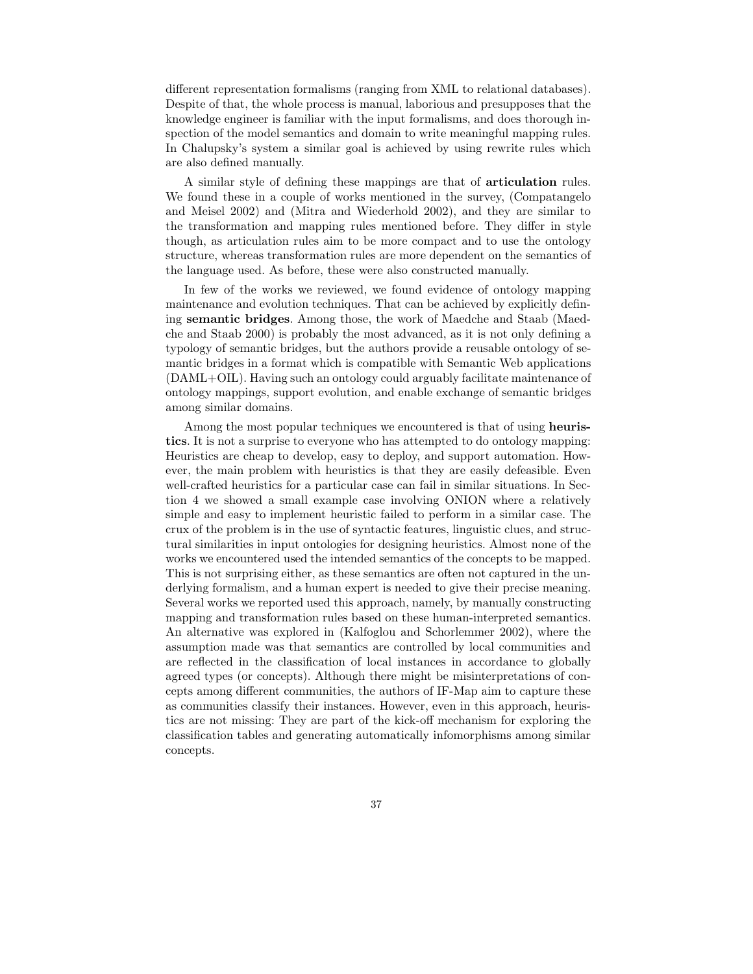different representation formalisms (ranging from XML to relational databases). Despite of that, the whole process is manual, laborious and presupposes that the knowledge engineer is familiar with the input formalisms, and does thorough inspection of the model semantics and domain to write meaningful mapping rules. In Chalupsky's system a similar goal is achieved by using rewrite rules which are also defined manually.

A similar style of defining these mappings are that of **articulation** rules. We found these in a couple of works mentioned in the survey, (Compatangelo and Meisel 2002) and (Mitra and Wiederhold 2002), and they are similar to the transformation and mapping rules mentioned before. They differ in style though, as articulation rules aim to be more compact and to use the ontology structure, whereas transformation rules are more dependent on the semantics of the language used. As before, these were also constructed manually.

In few of the works we reviewed, we found evidence of ontology mapping maintenance and evolution techniques. That can be achieved by explicitly defining **semantic bridges**. Among those, the work of Maedche and Staab (Maedche and Staab 2000) is probably the most advanced, as it is not only defining a typology of semantic bridges, but the authors provide a reusable ontology of semantic bridges in a format which is compatible with Semantic Web applications (DAML+OIL). Having such an ontology could arguably facilitate maintenance of ontology mappings, support evolution, and enable exchange of semantic bridges among similar domains.

Among the most popular techniques we encountered is that of using **heuristics**. It is not a surprise to everyone who has attempted to do ontology mapping: Heuristics are cheap to develop, easy to deploy, and support automation. However, the main problem with heuristics is that they are easily defeasible. Even well-crafted heuristics for a particular case can fail in similar situations. In Section 4 we showed a small example case involving ONION where a relatively simple and easy to implement heuristic failed to perform in a similar case. The crux of the problem is in the use of syntactic features, linguistic clues, and structural similarities in input ontologies for designing heuristics. Almost none of the works we encountered used the intended semantics of the concepts to be mapped. This is not surprising either, as these semantics are often not captured in the underlying formalism, and a human expert is needed to give their precise meaning. Several works we reported used this approach, namely, by manually constructing mapping and transformation rules based on these human-interpreted semantics. An alternative was explored in (Kalfoglou and Schorlemmer 2002), where the assumption made was that semantics are controlled by local communities and are reflected in the classification of local instances in accordance to globally agreed types (or concepts). Although there might be misinterpretations of concepts among different communities, the authors of IF-Map aim to capture these as communities classify their instances. However, even in this approach, heuristics are not missing: They are part of the kick-off mechanism for exploring the classification tables and generating automatically infomorphisms among similar concepts.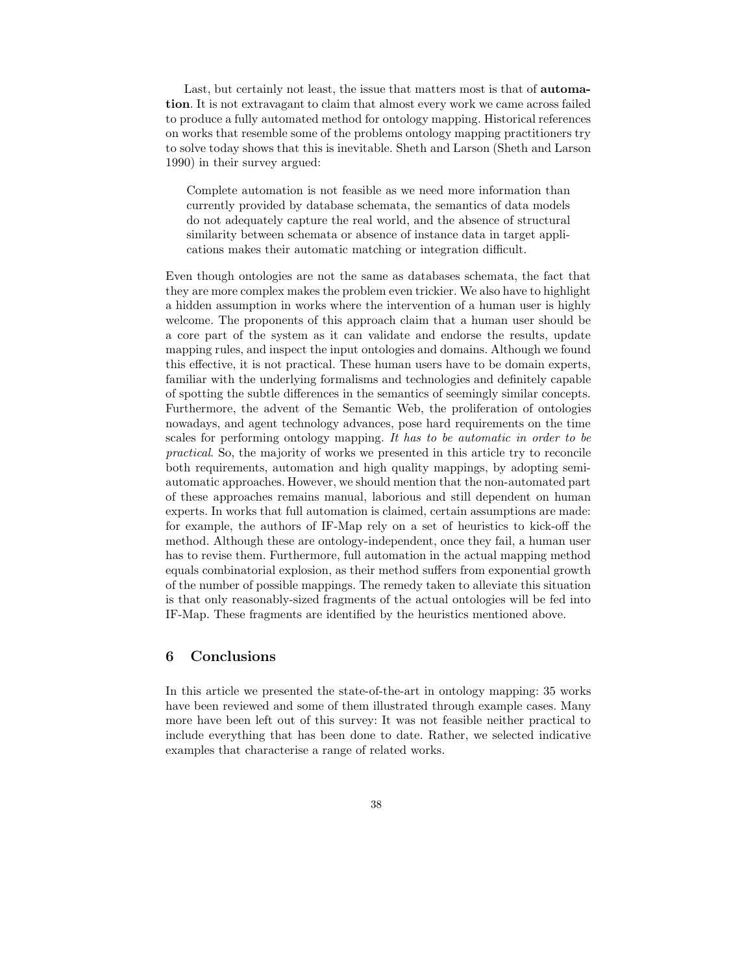Last, but certainly not least, the issue that matters most is that of **automation**. It is not extravagant to claim that almost every work we came across failed to produce a fully automated method for ontology mapping. Historical references on works that resemble some of the problems ontology mapping practitioners try to solve today shows that this is inevitable. Sheth and Larson (Sheth and Larson 1990) in their survey argued:

Complete automation is not feasible as we need more information than currently provided by database schemata, the semantics of data models do not adequately capture the real world, and the absence of structural similarity between schemata or absence of instance data in target applications makes their automatic matching or integration difficult.

Even though ontologies are not the same as databases schemata, the fact that they are more complex makes the problem even trickier. We also have to highlight a hidden assumption in works where the intervention of a human user is highly welcome. The proponents of this approach claim that a human user should be a core part of the system as it can validate and endorse the results, update mapping rules, and inspect the input ontologies and domains. Although we found this effective, it is not practical. These human users have to be domain experts, familiar with the underlying formalisms and technologies and definitely capable of spotting the subtle differences in the semantics of seemingly similar concepts. Furthermore, the advent of the Semantic Web, the proliferation of ontologies nowadays, and agent technology advances, pose hard requirements on the time scales for performing ontology mapping. It has to be automatic in order to be practical. So, the majority of works we presented in this article try to reconcile both requirements, automation and high quality mappings, by adopting semiautomatic approaches. However, we should mention that the non-automated part of these approaches remains manual, laborious and still dependent on human experts. In works that full automation is claimed, certain assumptions are made: for example, the authors of IF-Map rely on a set of heuristics to kick-off the method. Although these are ontology-independent, once they fail, a human user has to revise them. Furthermore, full automation in the actual mapping method equals combinatorial explosion, as their method suffers from exponential growth of the number of possible mappings. The remedy taken to alleviate this situation is that only reasonably-sized fragments of the actual ontologies will be fed into IF-Map. These fragments are identified by the heuristics mentioned above.

# **6 Conclusions**

In this article we presented the state-of-the-art in ontology mapping: 35 works have been reviewed and some of them illustrated through example cases. Many more have been left out of this survey: It was not feasible neither practical to include everything that has been done to date. Rather, we selected indicative examples that characterise a range of related works.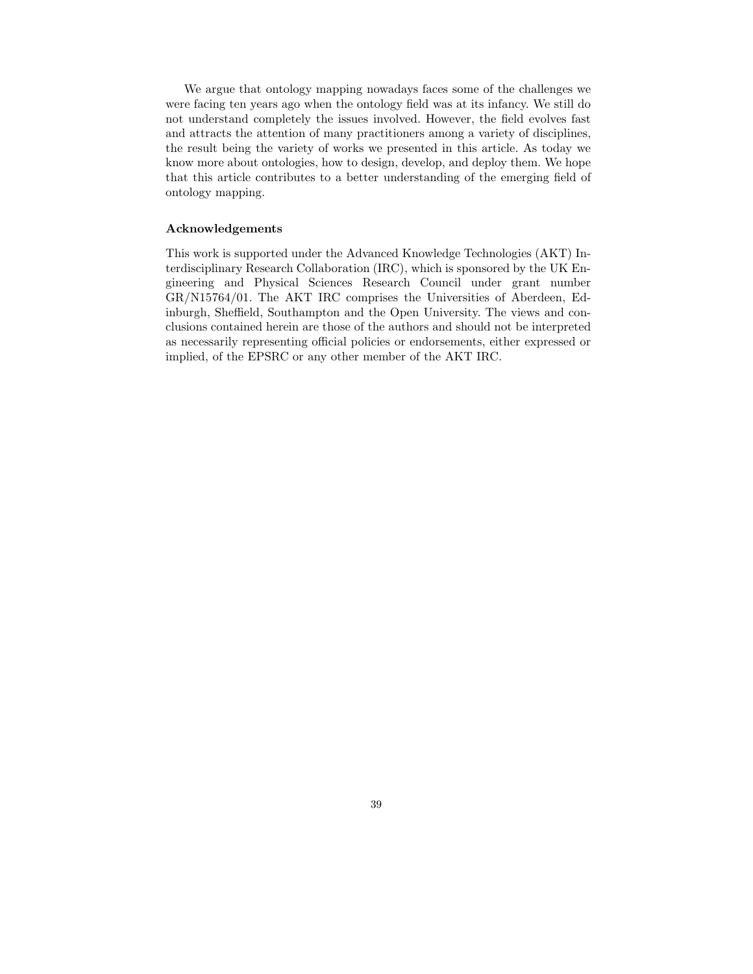We argue that ontology mapping nowadays faces some of the challenges we were facing ten years ago when the ontology field was at its infancy. We still do not understand completely the issues involved. However, the field evolves fast and attracts the attention of many practitioners among a variety of disciplines, the result being the variety of works we presented in this article. As today we know more about ontologies, how to design, develop, and deploy them. We hope that this article contributes to a better understanding of the emerging field of ontology mapping.

#### **Acknowledgements**

This work is supported under the Advanced Knowledge Technologies (AKT) Interdisciplinary Research Collaboration (IRC), which is sponsored by the UK Engineering and Physical Sciences Research Council under grant number GR/N15764/01. The AKT IRC comprises the Universities of Aberdeen, Edinburgh, Sheffield, Southampton and the Open University. The views and conclusions contained herein are those of the authors and should not be interpreted as necessarily representing official policies or endorsements, either expressed or implied, of the EPSRC or any other member of the AKT IRC.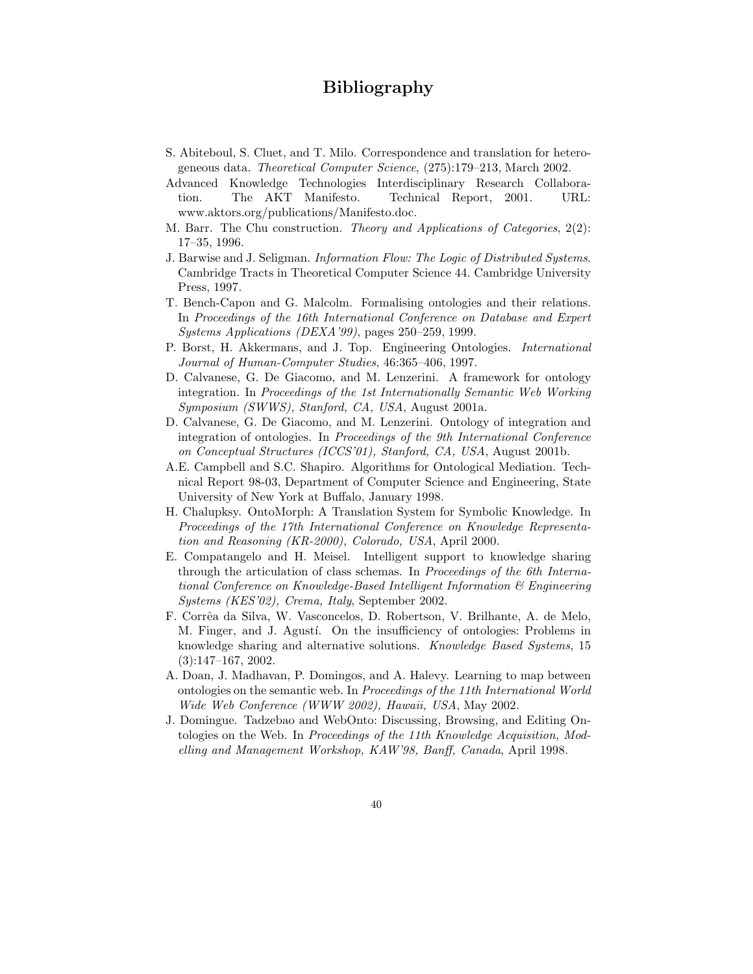# **Bibliography**

- S. Abiteboul, S. Cluet, and T. Milo. Correspondence and translation for heterogeneous data. Theoretical Computer Science, (275):179–213, March 2002.
- Advanced Knowledge Technologies Interdisciplinary Research Collaboration. The AKT Manifesto. Technical Report, 2001. URL: www.aktors.org/publications/Manifesto.doc.
- M. Barr. The Chu construction. *Theory and Applications of Categories*, 2(2): 17–35, 1996.
- J. Barwise and J. Seligman. Information Flow: The Logic of Distributed Systems. Cambridge Tracts in Theoretical Computer Science 44. Cambridge University Press, 1997.
- T. Bench-Capon and G. Malcolm. Formalising ontologies and their relations. In Proceedings of the 16th International Conference on Database and Expert Systems Applications (DEXA'99), pages 250–259, 1999.
- P. Borst, H. Akkermans, and J. Top. Engineering Ontologies. International Journal of Human-Computer Studies, 46:365–406, 1997.
- D. Calvanese, G. De Giacomo, and M. Lenzerini. A framework for ontology integration. In Proceedings of the 1st Internationally Semantic Web Working Symposium (SWWS), Stanford, CA, USA, August 2001a.
- D. Calvanese, G. De Giacomo, and M. Lenzerini. Ontology of integration and integration of ontologies. In Proceedings of the 9th International Conference on Conceptual Structures (ICCS'01), Stanford, CA, USA, August 2001b.
- A.E. Campbell and S.C. Shapiro. Algorithms for Ontological Mediation. Technical Report 98-03, Department of Computer Science and Engineering, State University of New York at Buffalo, January 1998.
- H. Chalupksy. OntoMorph: A Translation System for Symbolic Knowledge. In Proceedings of the 17th International Conference on Knowledge Representation and Reasoning (KR-2000), Colorado, USA, April 2000.
- E. Compatangelo and H. Meisel. Intelligent support to knowledge sharing through the articulation of class schemas. In Proceedings of the 6th International Conference on Knowledge-Based Intelligent Information & Engineering Systems (KES'02), Crema, Italy, September 2002.
- F. Corrêa da Silva, W. Vasconcelos, D. Robertson, V. Brilhante, A. de Melo, M. Finger, and J. Agustí. On the insufficiency of ontologies: Problems in knowledge sharing and alternative solutions. Knowledge Based Systems, 15 (3):147–167, 2002.
- A. Doan, J. Madhavan, P. Domingos, and A. Halevy. Learning to map between ontologies on the semantic web. In Proceedings of the 11th International World Wide Web Conference (WWW 2002), Hawaii, USA, May 2002.
- J. Domingue. Tadzebao and WebOnto: Discussing, Browsing, and Editing Ontologies on the Web. In Proceedings of the 11th Knowledge Acquisition, Modelling and Management Workshop, KAW'98, Banff, Canada, April 1998.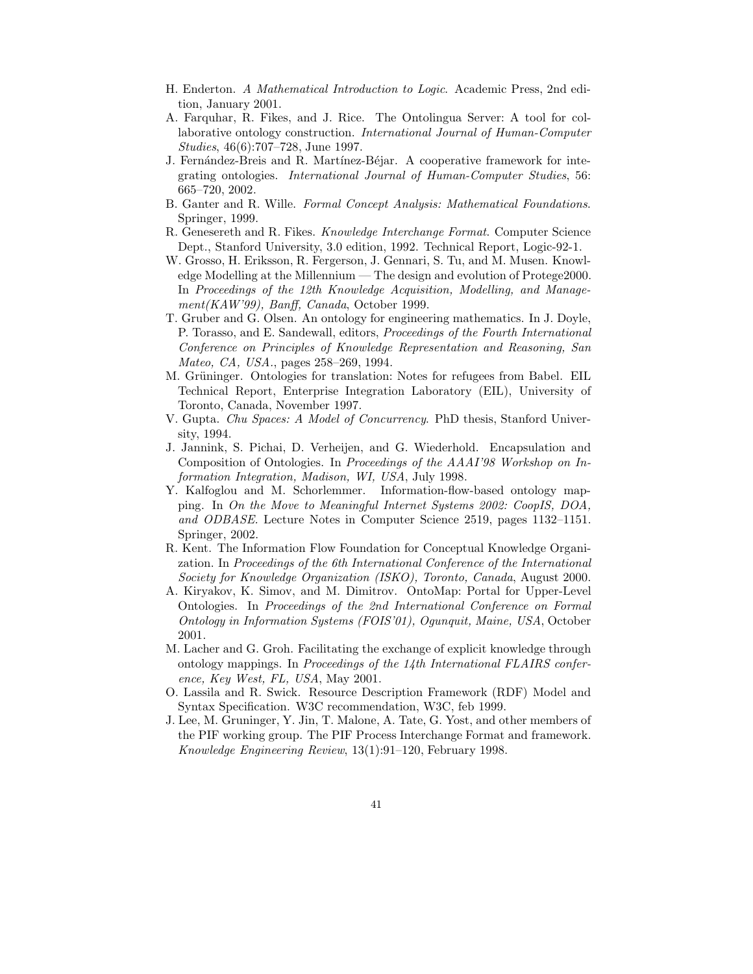- H. Enderton. A Mathematical Introduction to Logic. Academic Press, 2nd edition, January 2001.
- A. Farquhar, R. Fikes, and J. Rice. The Ontolingua Server: A tool for collaborative ontology construction. International Journal of Human-Computer Studies, 46(6):707–728, June 1997.
- J. Fernández-Breis and R. Martínez-Béjar. A cooperative framework for integrating ontologies. International Journal of Human-Computer Studies, 56: 665–720, 2002.
- B. Ganter and R. Wille. Formal Concept Analysis: Mathematical Foundations. Springer, 1999.
- R. Genesereth and R. Fikes. Knowledge Interchange Format. Computer Science Dept., Stanford University, 3.0 edition, 1992. Technical Report, Logic-92-1.
- W. Grosso, H. Eriksson, R. Fergerson, J. Gennari, S. Tu, and M. Musen. Knowledge Modelling at the Millennium — The design and evolution of Protege2000. In Proceedings of the 12th Knowledge Acquisition, Modelling, and Management(KAW'99), Banff, Canada, October 1999.
- T. Gruber and G. Olsen. An ontology for engineering mathematics. In J. Doyle, P. Torasso, and E. Sandewall, editors, Proceedings of the Fourth International Conference on Principles of Knowledge Representation and Reasoning, San Mateo, CA, USA., pages 258–269, 1994.
- M. Grüninger. Ontologies for translation: Notes for refugees from Babel. EIL Technical Report, Enterprise Integration Laboratory (EIL), University of Toronto, Canada, November 1997.
- V. Gupta. Chu Spaces: A Model of Concurrency. PhD thesis, Stanford University, 1994.
- J. Jannink, S. Pichai, D. Verheijen, and G. Wiederhold. Encapsulation and Composition of Ontologies. In Proceedings of the AAAI'98 Workshop on Information Integration, Madison, WI, USA, July 1998.
- Y. Kalfoglou and M. Schorlemmer. Information-flow-based ontology mapping. In On the Move to Meaningful Internet Systems 2002: CoopIS, DOA, and ODBASE. Lecture Notes in Computer Science 2519, pages 1132–1151. Springer, 2002.
- R. Kent. The Information Flow Foundation for Conceptual Knowledge Organization. In Proceedings of the 6th International Conference of the International Society for Knowledge Organization (ISKO), Toronto, Canada, August 2000.
- A. Kiryakov, K. Simov, and M. Dimitrov. OntoMap: Portal for Upper-Level Ontologies. In Proceedings of the 2nd International Conference on Formal Ontology in Information Systems (FOIS'01), Ogunquit, Maine, USA, October 2001.
- M. Lacher and G. Groh. Facilitating the exchange of explicit knowledge through ontology mappings. In Proceedings of the 14th International FLAIRS conference, Key West, FL, USA, May 2001.
- O. Lassila and R. Swick. Resource Description Framework (RDF) Model and Syntax Specification. W3C recommendation, W3C, feb 1999.
- J. Lee, M. Gruninger, Y. Jin, T. Malone, A. Tate, G. Yost, and other members of the PIF working group. The PIF Process Interchange Format and framework. Knowledge Engineering Review, 13(1):91–120, February 1998.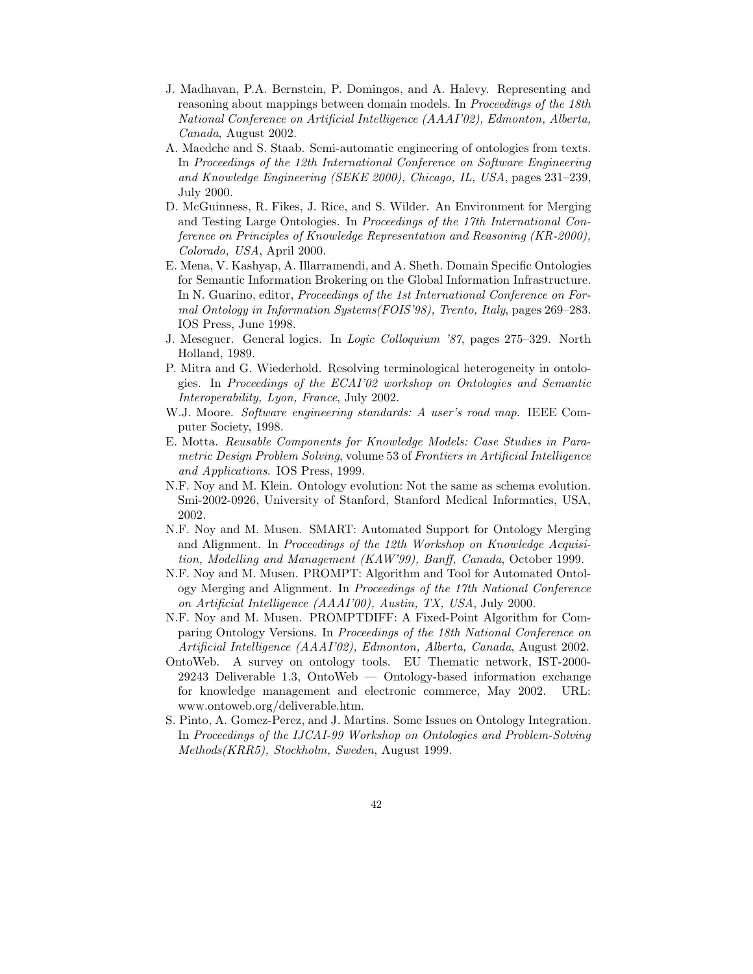- J. Madhavan, P.A. Bernstein, P. Domingos, and A. Halevy. Representing and reasoning about mappings between domain models. In *Proceedings of the 18th* National Conference on Artificial Intelligence (AAAI'02), Edmonton, Alberta, Canada, August 2002.
- A. Maedche and S. Staab. Semi-automatic engineering of ontologies from texts. In Proceedings of the 12th International Conference on Software Engineering and Knowledge Engineering (SEKE 2000), Chicago, IL, USA, pages 231–239, July 2000.
- D. McGuinness, R. Fikes, J. Rice, and S. Wilder. An Environment for Merging and Testing Large Ontologies. In Proceedings of the 17th International Conference on Principles of Knowledge Representation and Reasoning (KR-2000), Colorado, USA, April 2000.
- E. Mena, V. Kashyap, A. Illarramendi, and A. Sheth. Domain Specific Ontologies for Semantic Information Brokering on the Global Information Infrastructure. In N. Guarino, editor, *Proceedings of the 1st International Conference on For*mal Ontology in Information Systems(FOIS'98), Trento, Italy, pages 269–283. IOS Press, June 1998.
- J. Meseguer. General logics. In Logic Colloquium '87, pages 275–329. North Holland, 1989.
- P. Mitra and G. Wiederhold. Resolving terminological heterogeneity in ontologies. In Proceedings of the ECAI'02 workshop on Ontologies and Semantic Interoperability, Lyon, France, July 2002.
- W.J. Moore. Software engineering standards: A user's road map. IEEE Computer Society, 1998.
- E. Motta. Reusable Components for Knowledge Models: Case Studies in Parametric Design Problem Solving, volume 53 of Frontiers in Artificial Intelligence and Applications. IOS Press, 1999.
- N.F. Noy and M. Klein. Ontology evolution: Not the same as schema evolution. Smi-2002-0926, University of Stanford, Stanford Medical Informatics, USA, 2002.
- N.F. Noy and M. Musen. SMART: Automated Support for Ontology Merging and Alignment. In Proceedings of the 12th Workshop on Knowledge Acquisition, Modelling and Management (KAW'99), Banff, Canada, October 1999.
- N.F. Noy and M. Musen. PROMPT: Algorithm and Tool for Automated Ontology Merging and Alignment. In Proceedings of the 17th National Conference on Artificial Intelligence (AAAI'00), Austin, TX, USA, July 2000.
- N.F. Noy and M. Musen. PROMPTDIFF: A Fixed-Point Algorithm for Comparing Ontology Versions. In Proceedings of the 18th National Conference on Artificial Intelligence (AAAI'02), Edmonton, Alberta, Canada, August 2002.
- OntoWeb. A survey on ontology tools. EU Thematic network, IST-2000- 29243 Deliverable 1.3, OntoWeb — Ontology-based information exchange for knowledge management and electronic commerce, May 2002. URL: www.ontoweb.org/deliverable.htm.
- S. Pinto, A. Gomez-Perez, and J. Martins. Some Issues on Ontology Integration. In Proceedings of the IJCAI-99 Workshop on Ontologies and Problem-Solving Methods(KRR5), Stockholm, Sweden, August 1999.